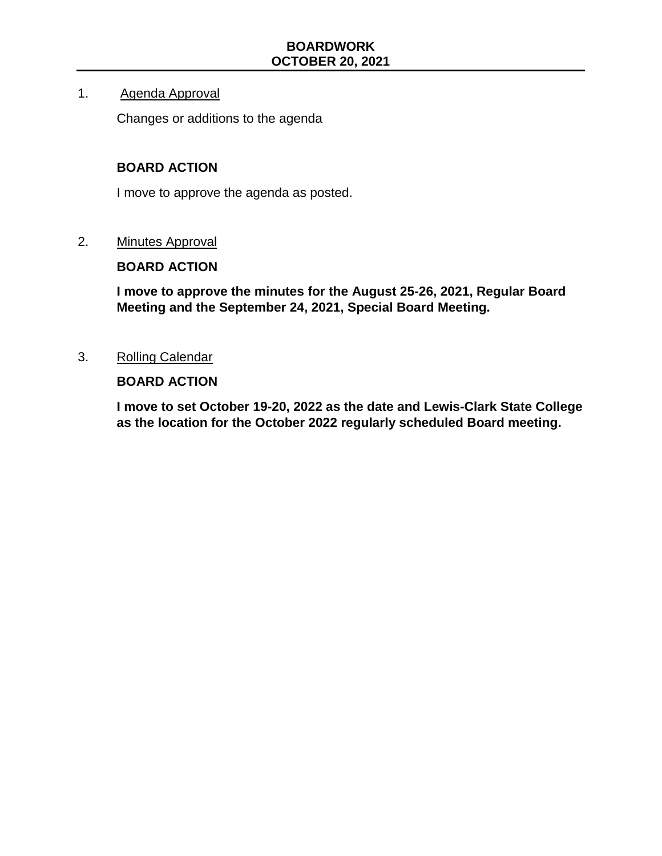#### 1. Agenda Approval

Changes or additions to the agenda

#### **BOARD ACTION**

I move to approve the agenda as posted.

2. Minutes Approval

#### **BOARD ACTION**

**I move to approve the minutes for the August 25-26, 2021, Regular Board Meeting and the September 24, 2021, Special Board Meeting.**

3. Rolling Calendar

#### **BOARD ACTION**

**I move to set October 19-20, 2022 as the date and Lewis-Clark State College as the location for the October 2022 regularly scheduled Board meeting.**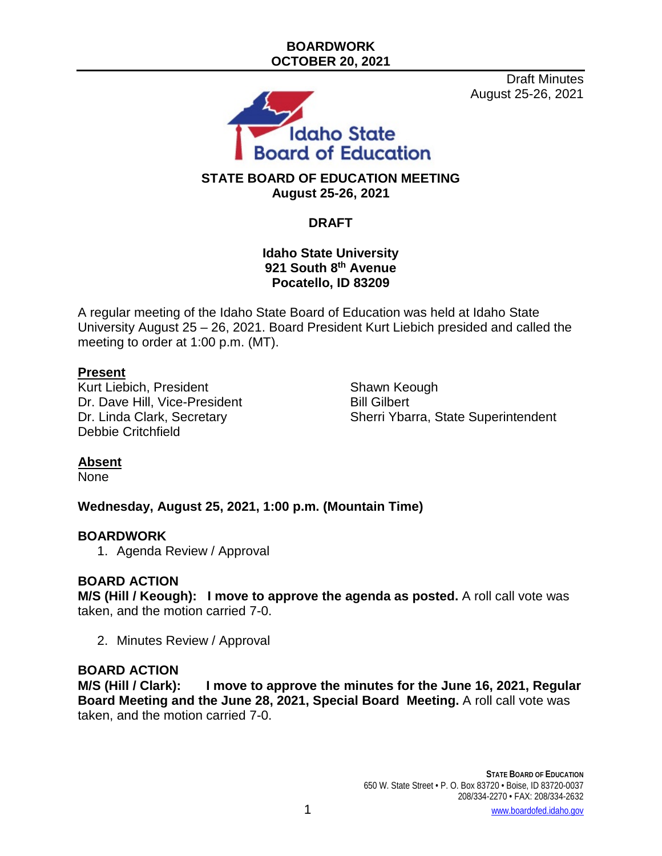Draft Minutes August 25-26, 2021



# **STATE BOARD OF EDUCATION MEETING August 25-26, 2021**

# **DRAFT**

#### **Idaho State University 921 South 8th Avenue Pocatello, ID 83209**

A regular meeting of the Idaho State Board of Education was held at Idaho State University August 25 – 26, 2021. Board President Kurt Liebich presided and called the meeting to order at 1:00 p.m. (MT).

### **Present**

Kurt Liebich, President Shawn Keough Dr. Dave Hill, Vice-President Bill Gilbert<br>Dr. Linda Clark, Secretary Bill Gherri Ybai Debbie Critchfield

Sherri Ybarra, State Superintendent

### **Absent**

None

**Wednesday, August 25, 2021, 1:00 p.m. (Mountain Time)**

#### **BOARDWORK**

1. Agenda Review / Approval

### **BOARD ACTION**

**M/S (Hill / Keough): I move to approve the agenda as posted.** A roll call vote was taken, and the motion carried 7-0.

2. Minutes Review / Approval

# **BOARD ACTION**

I move to approve the minutes for the June 16, 2021, Regular **Board Meeting and the June 28, 2021, Special Board Meeting.** A roll call vote was taken, and the motion carried 7-0.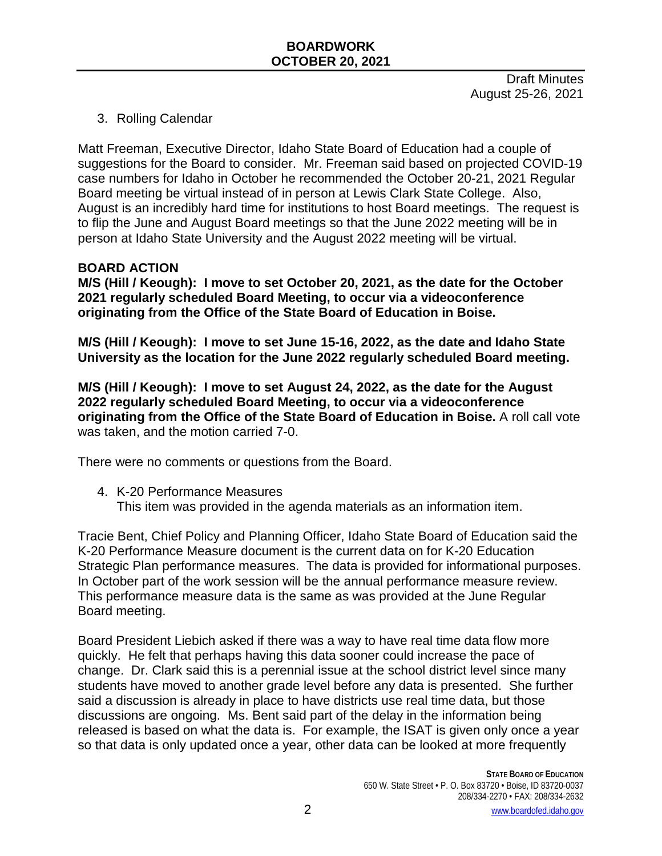Draft Minutes August 25-26, 2021

### 3. Rolling Calendar

Matt Freeman, Executive Director, Idaho State Board of Education had a couple of suggestions for the Board to consider. Mr. Freeman said based on projected COVID-19 case numbers for Idaho in October he recommended the October 20-21, 2021 Regular Board meeting be virtual instead of in person at Lewis Clark State College. Also, August is an incredibly hard time for institutions to host Board meetings. The request is to flip the June and August Board meetings so that the June 2022 meeting will be in person at Idaho State University and the August 2022 meeting will be virtual.

#### **BOARD ACTION**

**M/S (Hill / Keough): I move to set October 20, 2021, as the date for the October 2021 regularly scheduled Board Meeting, to occur via a videoconference originating from the Office of the State Board of Education in Boise.**

**M/S (Hill / Keough): I move to set June 15-16, 2022, as the date and Idaho State University as the location for the June 2022 regularly scheduled Board meeting.**

**M/S (Hill / Keough): I move to set August 24, 2022, as the date for the August 2022 regularly scheduled Board Meeting, to occur via a videoconference originating from the Office of the State Board of Education in Boise.** A roll call vote was taken, and the motion carried 7-0.

There were no comments or questions from the Board.

- 4. K-20 Performance Measures
	- This item was provided in the agenda materials as an information item.

Tracie Bent, Chief Policy and Planning Officer, Idaho State Board of Education said the K-20 Performance Measure document is the current data on for K-20 Education Strategic Plan performance measures. The data is provided for informational purposes. In October part of the work session will be the annual performance measure review. This performance measure data is the same as was provided at the June Regular Board meeting.

Board President Liebich asked if there was a way to have real time data flow more quickly. He felt that perhaps having this data sooner could increase the pace of change. Dr. Clark said this is a perennial issue at the school district level since many students have moved to another grade level before any data is presented. She further said a discussion is already in place to have districts use real time data, but those discussions are ongoing. Ms. Bent said part of the delay in the information being released is based on what the data is. For example, the ISAT is given only once a year so that data is only updated once a year, other data can be looked at more frequently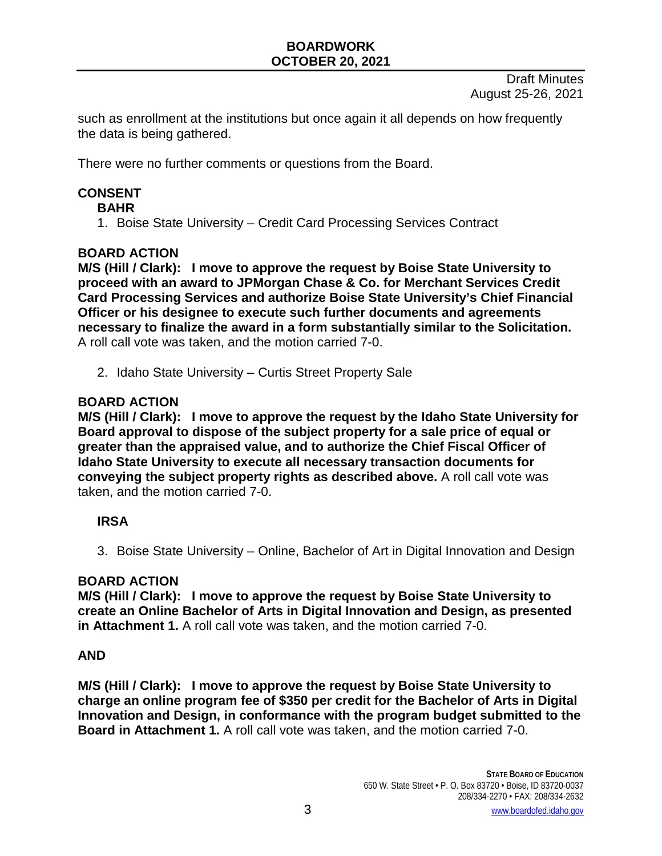Draft Minutes August 25-26, 2021

such as enrollment at the institutions but once again it all depends on how frequently the data is being gathered.

There were no further comments or questions from the Board.

# **CONSENT**

#### **BAHR**

1. Boise State University – Credit Card Processing Services Contract

#### **BOARD ACTION**

**M/S (Hill / Clark): I move to approve the request by Boise State University to proceed with an award to JPMorgan Chase & Co. for Merchant Services Credit Card Processing Services and authorize Boise State University's Chief Financial Officer or his designee to execute such further documents and agreements necessary to finalize the award in a form substantially similar to the Solicitation.** A roll call vote was taken, and the motion carried 7-0.

2. Idaho State University – Curtis Street Property Sale

#### **BOARD ACTION**

**M/S (Hill / Clark): I move to approve the request by the Idaho State University for Board approval to dispose of the subject property for a sale price of equal or greater than the appraised value, and to authorize the Chief Fiscal Officer of Idaho State University to execute all necessary transaction documents for conveying the subject property rights as described above.** A roll call vote was taken, and the motion carried 7-0.

### **IRSA**

3. Boise State University – Online, Bachelor of Art in Digital Innovation and Design

#### **BOARD ACTION**

**M/S (Hill / Clark): I move to approve the request by Boise State University to create an Online Bachelor of Arts in Digital Innovation and Design, as presented in Attachment 1.** A roll call vote was taken, and the motion carried 7-0.

### **AND**

**M/S (Hill / Clark): I move to approve the request by Boise State University to charge an online program fee of \$350 per credit for the Bachelor of Arts in Digital Innovation and Design, in conformance with the program budget submitted to the Board in Attachment 1.** A roll call vote was taken, and the motion carried 7-0.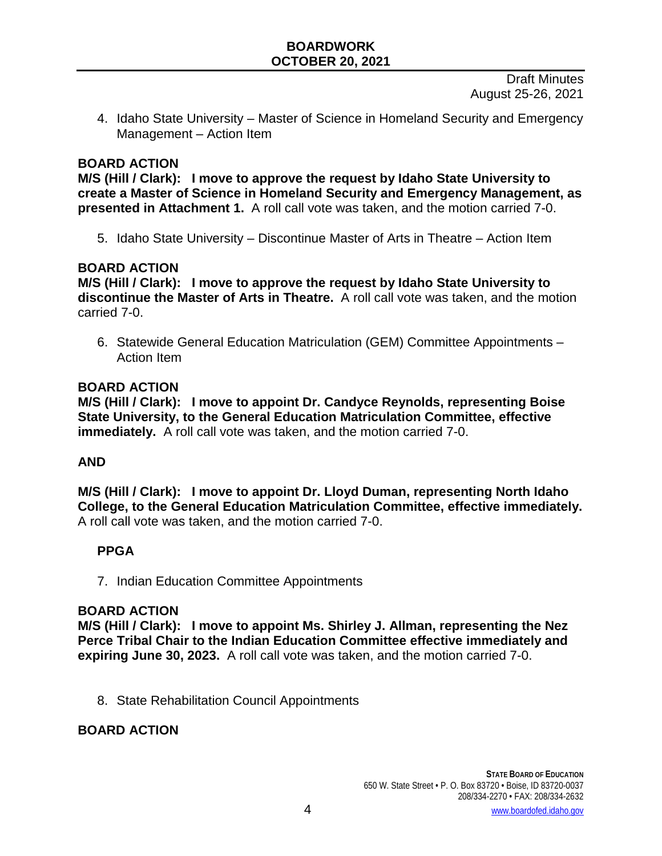Draft Minutes August 25-26, 2021

4. Idaho State University – Master of Science in Homeland Security and Emergency Management – Action Item

#### **BOARD ACTION**

**M/S (Hill / Clark): I move to approve the request by Idaho State University to create a Master of Science in Homeland Security and Emergency Management, as presented in Attachment 1.** A roll call vote was taken, and the motion carried 7-0.

5. Idaho State University – Discontinue Master of Arts in Theatre – Action Item

#### **BOARD ACTION**

**M/S (Hill / Clark): I move to approve the request by Idaho State University to discontinue the Master of Arts in Theatre.** A roll call vote was taken, and the motion carried 7-0.

6. Statewide General Education Matriculation (GEM) Committee Appointments – Action Item

#### **BOARD ACTION**

**M/S (Hill / Clark): I move to appoint Dr. Candyce Reynolds, representing Boise State University, to the General Education Matriculation Committee, effective immediately.** A roll call vote was taken, and the motion carried 7-0.

#### **AND**

**M/S (Hill / Clark): I move to appoint Dr. Lloyd Duman, representing North Idaho College, to the General Education Matriculation Committee, effective immediately.**  A roll call vote was taken, and the motion carried 7-0.

### **PPGA**

7. Indian Education Committee Appointments

#### **BOARD ACTION**

**M/S (Hill / Clark): I move to appoint Ms. Shirley J. Allman, representing the Nez Perce Tribal Chair to the Indian Education Committee effective immediately and expiring June 30, 2023.** A roll call vote was taken, and the motion carried 7-0.

8. State Rehabilitation Council Appointments

#### **BOARD ACTION**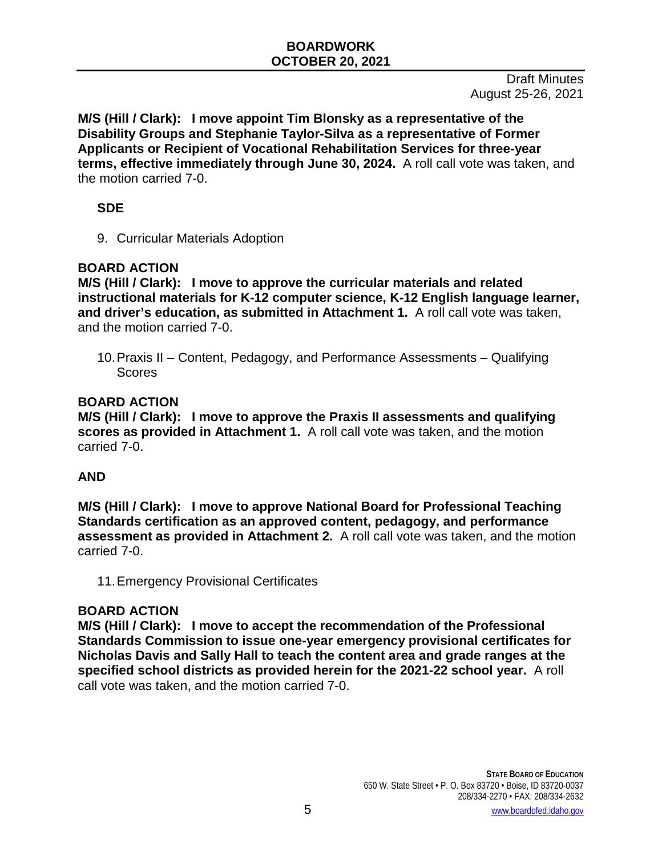**M/S (Hill / Clark): I move appoint Tim Blonsky as a representative of the Disability Groups and Stephanie Taylor-Silva as a representative of Former Applicants or Recipient of Vocational Rehabilitation Services for three-year terms, effective immediately through June 30, 2024.** A roll call vote was taken, and the motion carried 7-0.

### **SDE**

9. Curricular Materials Adoption

# **BOARD ACTION**

**M/S (Hill / Clark): I move to approve the curricular materials and related instructional materials for K-12 computer science, K-12 English language learner, and driver's education, as submitted in Attachment 1.** A roll call vote was taken, and the motion carried 7-0.

10.Praxis II – Content, Pedagogy, and Performance Assessments – Qualifying Scores

### **BOARD ACTION**

**M/S (Hill / Clark): I move to approve the Praxis II assessments and qualifying scores as provided in Attachment 1.** A roll call vote was taken, and the motion carried 7-0.

# **AND**

**M/S (Hill / Clark): I move to approve National Board for Professional Teaching Standards certification as an approved content, pedagogy, and performance assessment as provided in Attachment 2.** A roll call vote was taken, and the motion carried 7-0.

11.Emergency Provisional Certificates

# **BOARD ACTION**

**M/S (Hill / Clark): I move to accept the recommendation of the Professional Standards Commission to issue one-year emergency provisional certificates for Nicholas Davis and Sally Hall to teach the content area and grade ranges at the specified school districts as provided herein for the 2021-22 school year.** A roll call vote was taken, and the motion carried 7-0.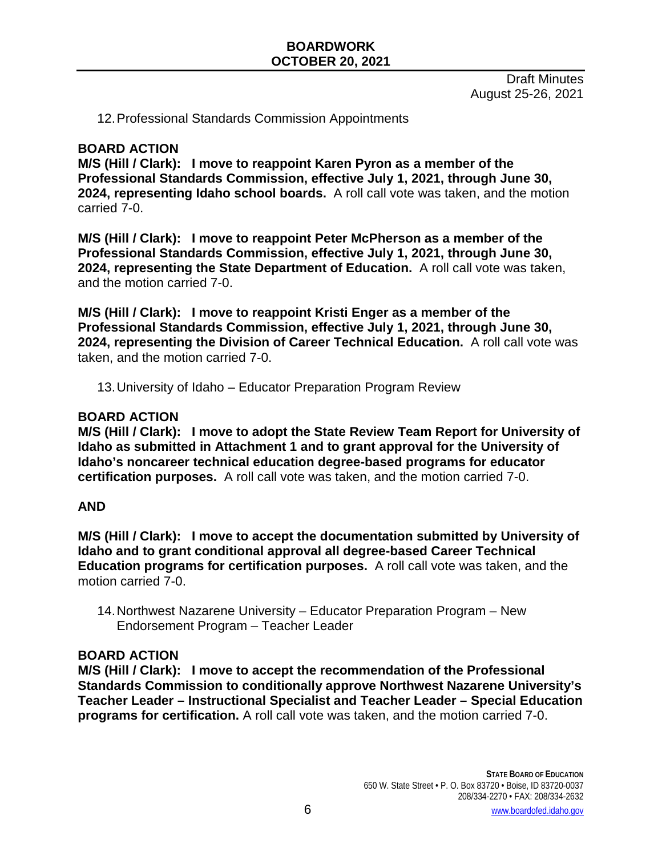Draft Minutes August 25-26, 2021

12.Professional Standards Commission Appointments

#### **BOARD ACTION**

**M/S (Hill / Clark): I move to reappoint Karen Pyron as a member of the Professional Standards Commission, effective July 1, 2021, through June 30, 2024, representing Idaho school boards.** A roll call vote was taken, and the motion carried 7-0.

**M/S (Hill / Clark): I move to reappoint Peter McPherson as a member of the Professional Standards Commission, effective July 1, 2021, through June 30, 2024, representing the State Department of Education.** A roll call vote was taken, and the motion carried 7-0.

**M/S (Hill / Clark): I move to reappoint Kristi Enger as a member of the Professional Standards Commission, effective July 1, 2021, through June 30, 2024, representing the Division of Career Technical Education.** A roll call vote was taken, and the motion carried 7-0.

13.University of Idaho – Educator Preparation Program Review

#### **BOARD ACTION**

**M/S (Hill / Clark): I move to adopt the State Review Team Report for University of Idaho as submitted in Attachment 1 and to grant approval for the University of Idaho's noncareer technical education degree-based programs for educator certification purposes.** A roll call vote was taken, and the motion carried 7-0.

#### **AND**

**M/S (Hill / Clark): I move to accept the documentation submitted by University of Idaho and to grant conditional approval all degree-based Career Technical Education programs for certification purposes.** A roll call vote was taken, and the motion carried 7-0.

14.Northwest Nazarene University – Educator Preparation Program – New Endorsement Program – Teacher Leader

#### **BOARD ACTION**

**M/S (Hill / Clark): I move to accept the recommendation of the Professional Standards Commission to conditionally approve Northwest Nazarene University's Teacher Leader – Instructional Specialist and Teacher Leader – Special Education programs for certification.** A roll call vote was taken, and the motion carried 7-0.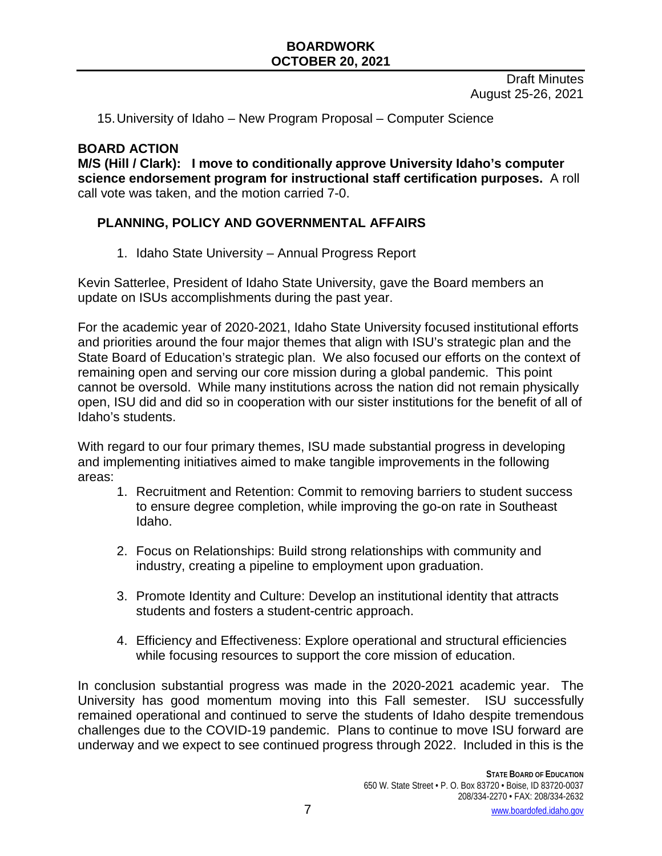Draft Minutes August 25-26, 2021

15.University of Idaho – New Program Proposal – Computer Science

#### **BOARD ACTION**

**M/S (Hill / Clark): I move to conditionally approve University Idaho's computer science endorsement program for instructional staff certification purposes.** A roll call vote was taken, and the motion carried 7-0.

# **PLANNING, POLICY AND GOVERNMENTAL AFFAIRS**

1. Idaho State University – Annual Progress Report

Kevin Satterlee, President of Idaho State University, gave the Board members an update on ISUs accomplishments during the past year.

For the academic year of 2020-2021, Idaho State University focused institutional efforts and priorities around the four major themes that align with ISU's strategic plan and the State Board of Education's strategic plan. We also focused our efforts on the context of remaining open and serving our core mission during a global pandemic. This point cannot be oversold. While many institutions across the nation did not remain physically open, ISU did and did so in cooperation with our sister institutions for the benefit of all of Idaho's students.

With regard to our four primary themes, ISU made substantial progress in developing and implementing initiatives aimed to make tangible improvements in the following areas:

- 1. Recruitment and Retention: Commit to removing barriers to student success to ensure degree completion, while improving the go-on rate in Southeast Idaho.
- 2. Focus on Relationships: Build strong relationships with community and industry, creating a pipeline to employment upon graduation.
- 3. Promote Identity and Culture: Develop an institutional identity that attracts students and fosters a student-centric approach.
- 4. Efficiency and Effectiveness: Explore operational and structural efficiencies while focusing resources to support the core mission of education.

In conclusion substantial progress was made in the 2020-2021 academic year. The University has good momentum moving into this Fall semester. ISU successfully remained operational and continued to serve the students of Idaho despite tremendous challenges due to the COVID-19 pandemic. Plans to continue to move ISU forward are underway and we expect to see continued progress through 2022. Included in this is the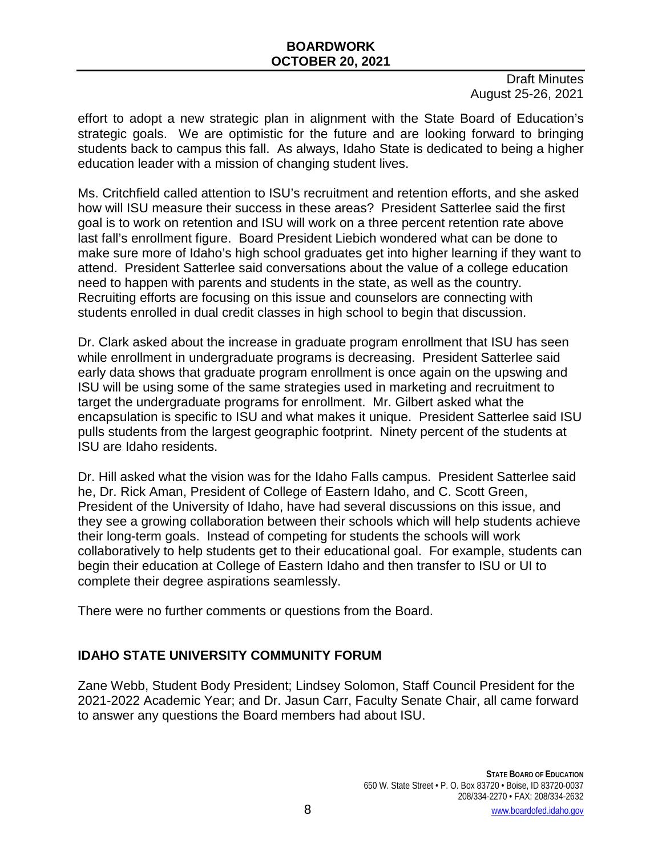Draft Minutes August 25-26, 2021

effort to adopt a new strategic plan in alignment with the State Board of Education's strategic goals. We are optimistic for the future and are looking forward to bringing students back to campus this fall. As always, Idaho State is dedicated to being a higher education leader with a mission of changing student lives.

Ms. Critchfield called attention to ISU's recruitment and retention efforts, and she asked how will ISU measure their success in these areas? President Satterlee said the first goal is to work on retention and ISU will work on a three percent retention rate above last fall's enrollment figure. Board President Liebich wondered what can be done to make sure more of Idaho's high school graduates get into higher learning if they want to attend. President Satterlee said conversations about the value of a college education need to happen with parents and students in the state, as well as the country. Recruiting efforts are focusing on this issue and counselors are connecting with students enrolled in dual credit classes in high school to begin that discussion.

Dr. Clark asked about the increase in graduate program enrollment that ISU has seen while enrollment in undergraduate programs is decreasing. President Satterlee said early data shows that graduate program enrollment is once again on the upswing and ISU will be using some of the same strategies used in marketing and recruitment to target the undergraduate programs for enrollment. Mr. Gilbert asked what the encapsulation is specific to ISU and what makes it unique. President Satterlee said ISU pulls students from the largest geographic footprint. Ninety percent of the students at ISU are Idaho residents.

Dr. Hill asked what the vision was for the Idaho Falls campus. President Satterlee said he, Dr. Rick Aman, President of College of Eastern Idaho, and C. Scott Green, President of the University of Idaho, have had several discussions on this issue, and they see a growing collaboration between their schools which will help students achieve their long-term goals. Instead of competing for students the schools will work collaboratively to help students get to their educational goal. For example, students can begin their education at College of Eastern Idaho and then transfer to ISU or UI to complete their degree aspirations seamlessly.

There were no further comments or questions from the Board.

# **IDAHO STATE UNIVERSITY COMMUNITY FORUM**

Zane Webb, Student Body President; Lindsey Solomon, Staff Council President for the 2021-2022 Academic Year; and Dr. Jasun Carr, Faculty Senate Chair, all came forward to answer any questions the Board members had about ISU.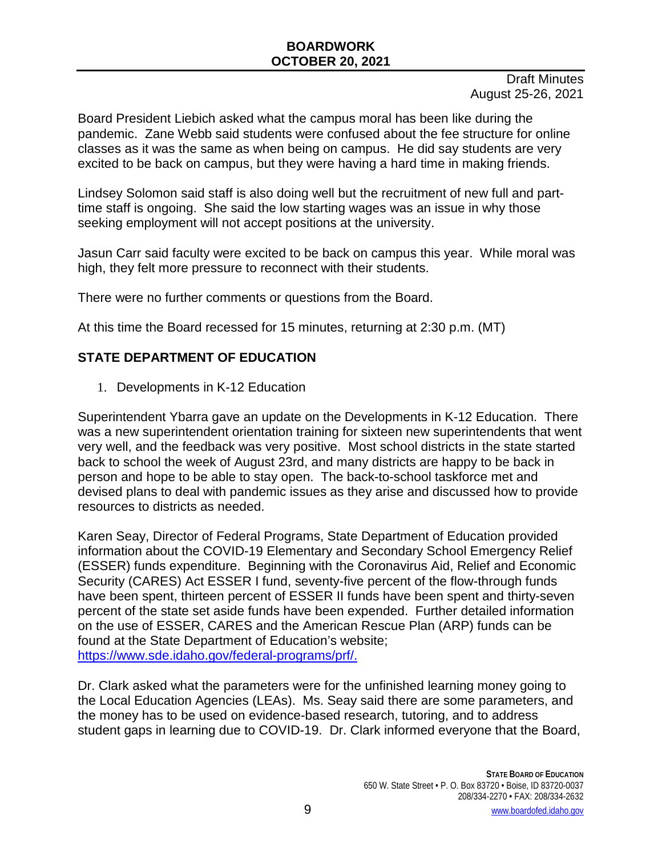Draft Minutes August 25-26, 2021

Board President Liebich asked what the campus moral has been like during the pandemic. Zane Webb said students were confused about the fee structure for online classes as it was the same as when being on campus. He did say students are very excited to be back on campus, but they were having a hard time in making friends.

Lindsey Solomon said staff is also doing well but the recruitment of new full and parttime staff is ongoing. She said the low starting wages was an issue in why those seeking employment will not accept positions at the university.

Jasun Carr said faculty were excited to be back on campus this year. While moral was high, they felt more pressure to reconnect with their students.

There were no further comments or questions from the Board.

At this time the Board recessed for 15 minutes, returning at 2:30 p.m. (MT)

# **STATE DEPARTMENT OF EDUCATION**

1. Developments in K-12 Education

Superintendent Ybarra gave an update on the Developments in K-12 Education. There was a new superintendent orientation training for sixteen new superintendents that went very well, and the feedback was very positive. Most school districts in the state started back to school the week of August 23rd, and many districts are happy to be back in person and hope to be able to stay open. The back-to-school taskforce met and devised plans to deal with pandemic issues as they arise and discussed how to provide resources to districts as needed.

Karen Seay, Director of Federal Programs, State Department of Education provided information about the COVID-19 Elementary and Secondary School Emergency Relief (ESSER) funds expenditure. Beginning with the Coronavirus Aid, Relief and Economic Security (CARES) Act ESSER I fund, seventy-five percent of the flow-through funds have been spent, thirteen percent of ESSER II funds have been spent and thirty-seven percent of the state set aside funds have been expended. Further detailed information on the use of ESSER, CARES and the American Rescue Plan (ARP) funds can be found at the State Department of Education's website; [https://www.sde.idaho.gov/federal-programs/prf/.](https://www.sde.idaho.gov/federal-programs/prf/)

Dr. Clark asked what the parameters were for the unfinished learning money going to the Local Education Agencies (LEAs). Ms. Seay said there are some parameters, and the money has to be used on evidence-based research, tutoring, and to address student gaps in learning due to COVID-19. Dr. Clark informed everyone that the Board,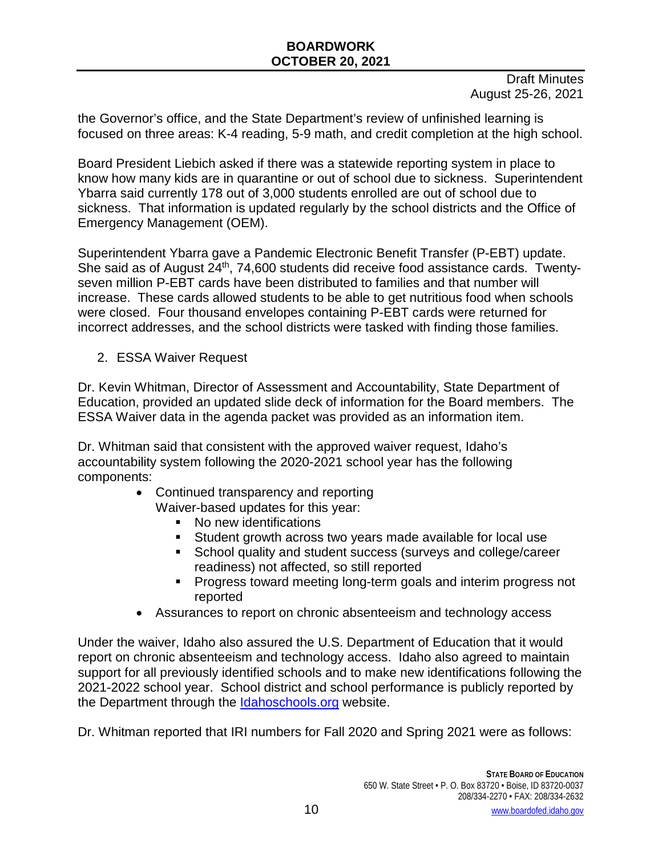Draft Minutes August 25-26, 2021

the Governor's office, and the State Department's review of unfinished learning is focused on three areas: K-4 reading, 5-9 math, and credit completion at the high school.

Board President Liebich asked if there was a statewide reporting system in place to know how many kids are in quarantine or out of school due to sickness. Superintendent Ybarra said currently 178 out of 3,000 students enrolled are out of school due to sickness. That information is updated regularly by the school districts and the Office of Emergency Management (OEM).

Superintendent Ybarra gave a Pandemic Electronic Benefit Transfer (P-EBT) update. She said as of August 24<sup>th</sup>, 74,600 students did receive food assistance cards. Twentyseven million P-EBT cards have been distributed to families and that number will increase. These cards allowed students to be able to get nutritious food when schools were closed. Four thousand envelopes containing P-EBT cards were returned for incorrect addresses, and the school districts were tasked with finding those families.

2. ESSA Waiver Request

Dr. Kevin Whitman, Director of Assessment and Accountability, State Department of Education, provided an updated slide deck of information for the Board members. The ESSA Waiver data in the agenda packet was provided as an information item.

Dr. Whitman said that consistent with the approved waiver request, Idaho's accountability system following the 2020-2021 school year has the following components:

- Continued transparency and reporting Waiver-based updates for this year:
	- No new identifications
	- Student growth across two years made available for local use
	- **School quality and student success (surveys and college/career** readiness) not affected, so still reported
	- Progress toward meeting long-term goals and interim progress not reported
- Assurances to report on chronic absenteeism and technology access

Under the waiver, Idaho also assured the U.S. Department of Education that it would report on chronic absenteeism and technology access. Idaho also agreed to maintain support for all previously identified schools and to make new identifications following the 2021-2022 school year. School district and school performance is publicly reported by the Department through the Idahoschools.org website.

Dr. Whitman reported that IRI numbers for Fall 2020 and Spring 2021 were as follows: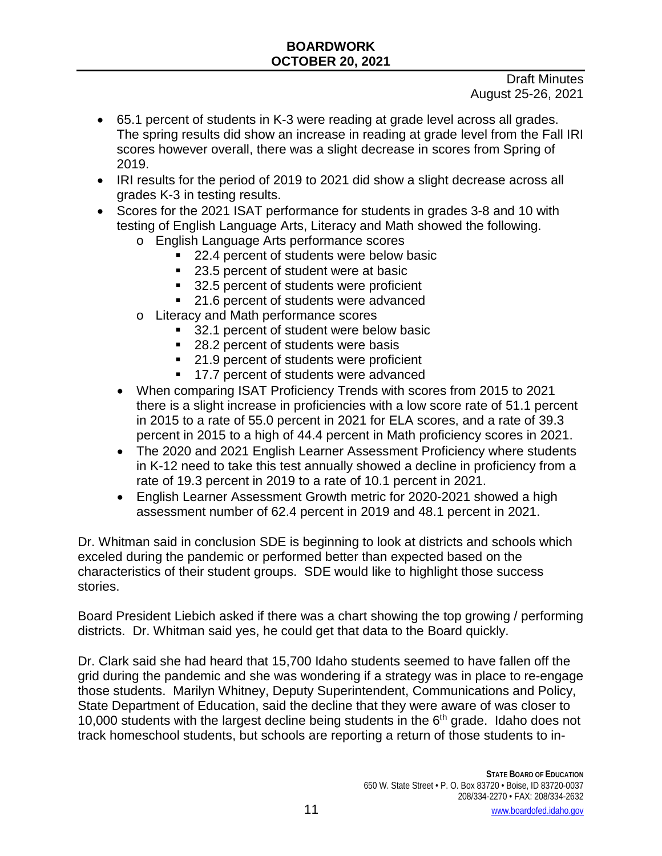Draft Minutes August 25-26, 2021

- 65.1 percent of students in K-3 were reading at grade level across all grades. The spring results did show an increase in reading at grade level from the Fall IRI scores however overall, there was a slight decrease in scores from Spring of 2019.
- IRI results for the period of 2019 to 2021 did show a slight decrease across all grades K-3 in testing results.
- Scores for the 2021 ISAT performance for students in grades 3-8 and 10 with testing of English Language Arts, Literacy and Math showed the following.
	- o English Language Arts performance scores
		- 22.4 percent of students were below basic
		- 23.5 percent of student were at basic
		- 32.5 percent of students were proficient
		- 21.6 percent of students were advanced
	- o Literacy and Math performance scores
		- 32.1 percent of student were below basic
		- 28.2 percent of students were basis
		- 21.9 percent of students were proficient
		- 17.7 percent of students were advanced
	- When comparing ISAT Proficiency Trends with scores from 2015 to 2021 there is a slight increase in proficiencies with a low score rate of 51.1 percent in 2015 to a rate of 55.0 percent in 2021 for ELA scores, and a rate of 39.3 percent in 2015 to a high of 44.4 percent in Math proficiency scores in 2021.
	- The 2020 and 2021 English Learner Assessment Proficiency where students in K-12 need to take this test annually showed a decline in proficiency from a rate of 19.3 percent in 2019 to a rate of 10.1 percent in 2021.
	- English Learner Assessment Growth metric for 2020-2021 showed a high assessment number of 62.4 percent in 2019 and 48.1 percent in 2021.

Dr. Whitman said in conclusion SDE is beginning to look at districts and schools which exceled during the pandemic or performed better than expected based on the characteristics of their student groups. SDE would like to highlight those success stories.

Board President Liebich asked if there was a chart showing the top growing / performing districts. Dr. Whitman said yes, he could get that data to the Board quickly.

Dr. Clark said she had heard that 15,700 Idaho students seemed to have fallen off the grid during the pandemic and she was wondering if a strategy was in place to re-engage those students. Marilyn Whitney, Deputy Superintendent, Communications and Policy, State Department of Education, said the decline that they were aware of was closer to 10,000 students with the largest decline being students in the  $6<sup>th</sup>$  grade. Idaho does not track homeschool students, but schools are reporting a return of those students to in-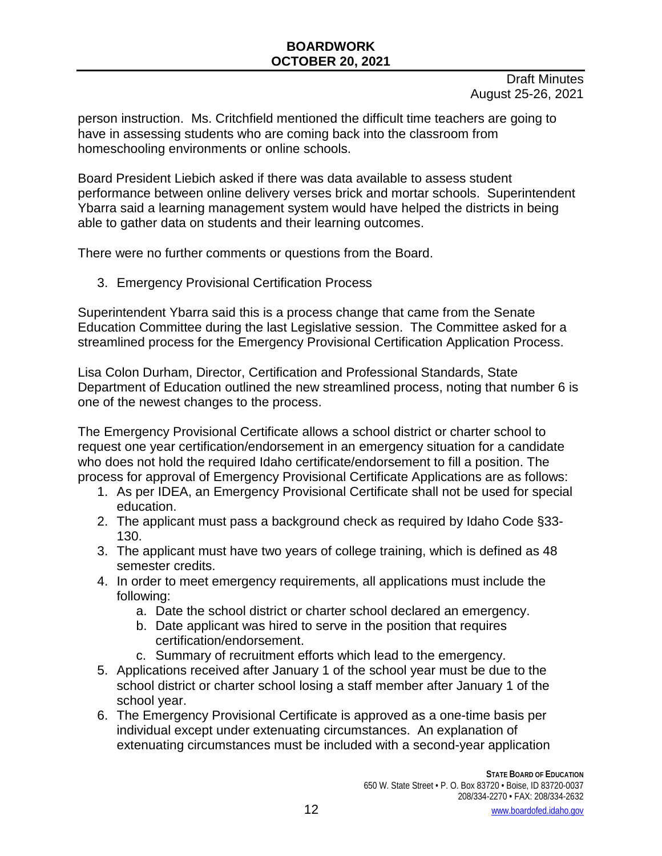Draft Minutes August 25-26, 2021

person instruction. Ms. Critchfield mentioned the difficult time teachers are going to have in assessing students who are coming back into the classroom from homeschooling environments or online schools.

Board President Liebich asked if there was data available to assess student performance between online delivery verses brick and mortar schools. Superintendent Ybarra said a learning management system would have helped the districts in being able to gather data on students and their learning outcomes.

There were no further comments or questions from the Board.

3. Emergency Provisional Certification Process

Superintendent Ybarra said this is a process change that came from the Senate Education Committee during the last Legislative session. The Committee asked for a streamlined process for the Emergency Provisional Certification Application Process.

Lisa Colon Durham, Director, Certification and Professional Standards, State Department of Education outlined the new streamlined process, noting that number 6 is one of the newest changes to the process.

The Emergency Provisional Certificate allows a school district or charter school to request one year certification/endorsement in an emergency situation for a candidate who does not hold the required Idaho certificate/endorsement to fill a position. The process for approval of Emergency Provisional Certificate Applications are as follows:

- 1. As per IDEA, an Emergency Provisional Certificate shall not be used for special education.
- 2. The applicant must pass a background check as required by Idaho Code §33- 130.
- 3. The applicant must have two years of college training, which is defined as 48 semester credits.
- 4. In order to meet emergency requirements, all applications must include the following:
	- a. Date the school district or charter school declared an emergency.
	- b. Date applicant was hired to serve in the position that requires certification/endorsement.
	- c. Summary of recruitment efforts which lead to the emergency.
- 5. Applications received after January 1 of the school year must be due to the school district or charter school losing a staff member after January 1 of the school year.
- 6. The Emergency Provisional Certificate is approved as a one-time basis per individual except under extenuating circumstances. An explanation of extenuating circumstances must be included with a second-year application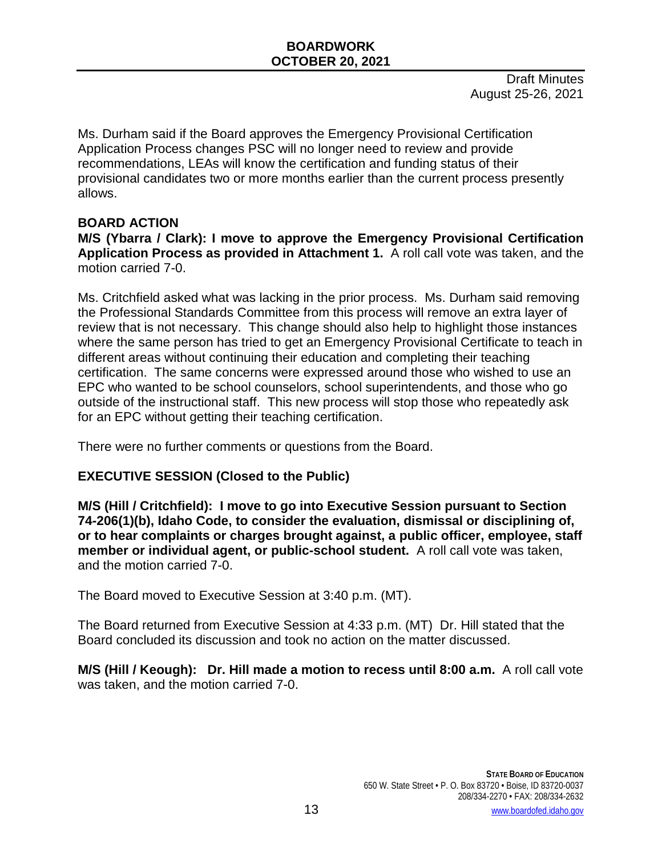Ms. Durham said if the Board approves the Emergency Provisional Certification Application Process changes PSC will no longer need to review and provide recommendations, LEAs will know the certification and funding status of their provisional candidates two or more months earlier than the current process presently allows.

#### **BOARD ACTION**

**M/S (Ybarra / Clark): I move to approve the Emergency Provisional Certification Application Process as provided in Attachment 1.** A roll call vote was taken, and the motion carried 7-0.

Ms. Critchfield asked what was lacking in the prior process. Ms. Durham said removing the Professional Standards Committee from this process will remove an extra layer of review that is not necessary. This change should also help to highlight those instances where the same person has tried to get an Emergency Provisional Certificate to teach in different areas without continuing their education and completing their teaching certification. The same concerns were expressed around those who wished to use an EPC who wanted to be school counselors, school superintendents, and those who go outside of the instructional staff. This new process will stop those who repeatedly ask for an EPC without getting their teaching certification.

There were no further comments or questions from the Board.

### **EXECUTIVE SESSION (Closed to the Public)**

**M/S (Hill / Critchfield): I move to go into Executive Session pursuant to Section 74-206(1)(b), Idaho Code, to consider the evaluation, dismissal or disciplining of, or to hear complaints or charges brought against, a public officer, employee, staff member or individual agent, or public-school student.** A roll call vote was taken, and the motion carried 7-0.

The Board moved to Executive Session at 3:40 p.m. (MT).

The Board returned from Executive Session at 4:33 p.m. (MT) Dr. Hill stated that the Board concluded its discussion and took no action on the matter discussed.

**M/S (Hill / Keough): Dr. Hill made a motion to recess until 8:00 a.m.** A roll call vote was taken, and the motion carried 7-0.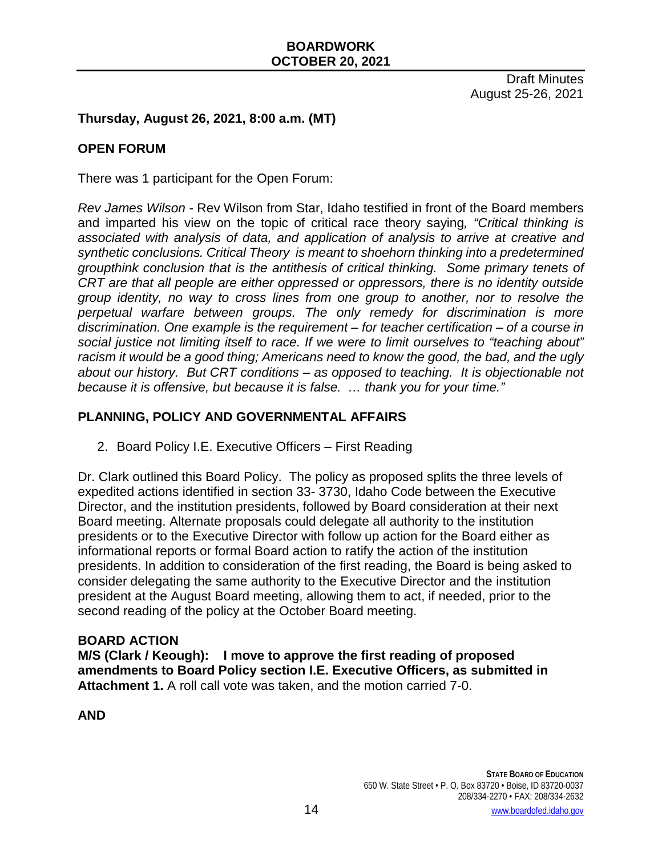### **Thursday, August 26, 2021, 8:00 a.m. (MT)**

#### **OPEN FORUM**

There was 1 participant for the Open Forum:

*Rev James Wilson* - Rev Wilson from Star, Idaho testified in front of the Board members and imparted his view on the topic of critical race theory saying*, "Critical thinking is associated with analysis of data, and application of analysis to arrive at creative and synthetic conclusions. Critical Theory is meant to shoehorn thinking into a predetermined groupthink conclusion that is the antithesis of critical thinking. Some primary tenets of CRT are that all people are either oppressed or oppressors, there is no identity outside group identity, no way to cross lines from one group to another, nor to resolve the perpetual warfare between groups. The only remedy for discrimination is more discrimination. One example is the requirement – for teacher certification – of a course in social justice not limiting itself to race. If we were to limit ourselves to "teaching about" racism it would be a good thing; Americans need to know the good, the bad, and the ugly about our history. But CRT conditions – as opposed to teaching. It is objectionable not because it is offensive, but because it is false. … thank you for your time."*

#### **PLANNING, POLICY AND GOVERNMENTAL AFFAIRS**

2. Board Policy I.E. Executive Officers – First Reading

Dr. Clark outlined this Board Policy. The policy as proposed splits the three levels of expedited actions identified in section 33- 3730, Idaho Code between the Executive Director, and the institution presidents, followed by Board consideration at their next Board meeting. Alternate proposals could delegate all authority to the institution presidents or to the Executive Director with follow up action for the Board either as informational reports or formal Board action to ratify the action of the institution presidents. In addition to consideration of the first reading, the Board is being asked to consider delegating the same authority to the Executive Director and the institution president at the August Board meeting, allowing them to act, if needed, prior to the second reading of the policy at the October Board meeting.

#### **BOARD ACTION**

**M/S (Clark / Keough): I move to approve the first reading of proposed amendments to Board Policy section I.E. Executive Officers, as submitted in Attachment 1.** A roll call vote was taken, and the motion carried 7-0.

**AND**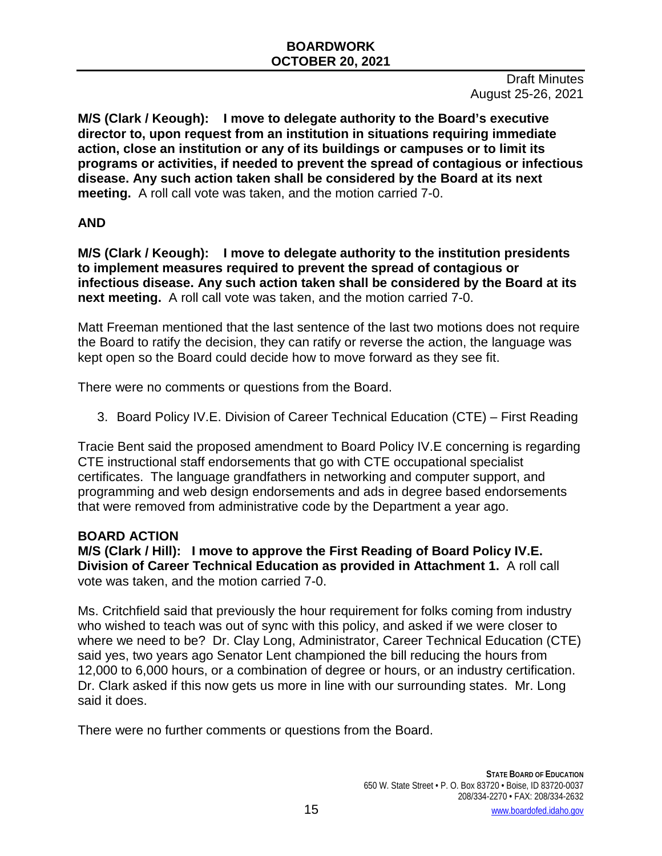**M/S (Clark / Keough): I move to delegate authority to the Board's executive director to, upon request from an institution in situations requiring immediate action, close an institution or any of its buildings or campuses or to limit its programs or activities, if needed to prevent the spread of contagious or infectious disease. Any such action taken shall be considered by the Board at its next meeting.** A roll call vote was taken, and the motion carried 7-0.

### **AND**

**M/S (Clark / Keough): I move to delegate authority to the institution presidents to implement measures required to prevent the spread of contagious or infectious disease. Any such action taken shall be considered by the Board at its next meeting.** A roll call vote was taken, and the motion carried 7-0.

Matt Freeman mentioned that the last sentence of the last two motions does not require the Board to ratify the decision, they can ratify or reverse the action, the language was kept open so the Board could decide how to move forward as they see fit.

There were no comments or questions from the Board.

3. Board Policy IV.E. Division of Career Technical Education (CTE) – First Reading

Tracie Bent said the proposed amendment to Board Policy IV.E concerning is regarding CTE instructional staff endorsements that go with CTE occupational specialist certificates. The language grandfathers in networking and computer support, and programming and web design endorsements and ads in degree based endorsements that were removed from administrative code by the Department a year ago.

# **BOARD ACTION**

**M/S (Clark / Hill): I move to approve the First Reading of Board Policy IV.E. Division of Career Technical Education as provided in Attachment 1.** A roll call vote was taken, and the motion carried 7-0.

Ms. Critchfield said that previously the hour requirement for folks coming from industry who wished to teach was out of sync with this policy, and asked if we were closer to where we need to be? Dr. Clay Long, Administrator, Career Technical Education (CTE) said yes, two years ago Senator Lent championed the bill reducing the hours from 12,000 to 6,000 hours, or a combination of degree or hours, or an industry certification. Dr. Clark asked if this now gets us more in line with our surrounding states. Mr. Long said it does.

There were no further comments or questions from the Board.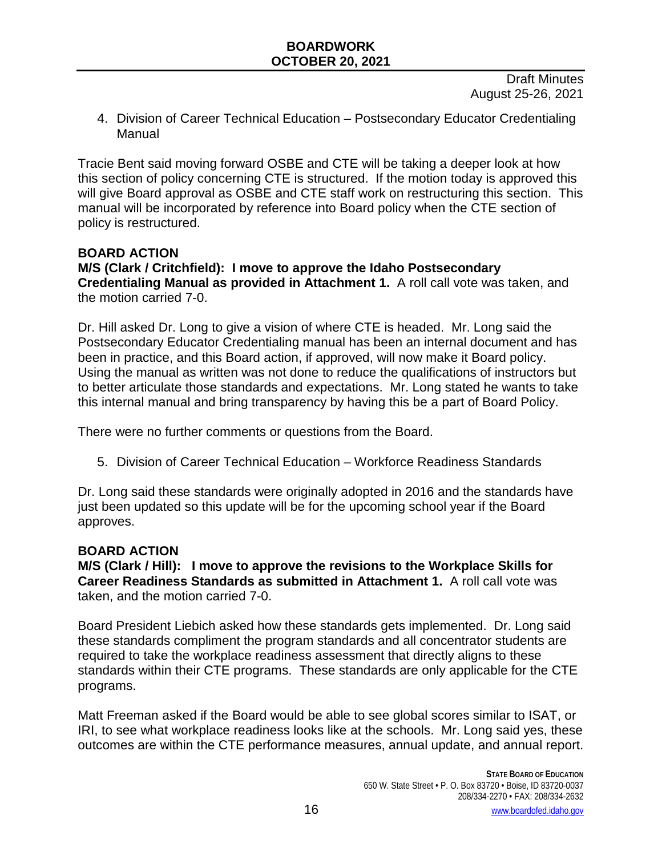Draft Minutes August 25-26, 2021

4. Division of Career Technical Education – Postsecondary Educator Credentialing Manual

Tracie Bent said moving forward OSBE and CTE will be taking a deeper look at how this section of policy concerning CTE is structured. If the motion today is approved this will give Board approval as OSBE and CTE staff work on restructuring this section. This manual will be incorporated by reference into Board policy when the CTE section of policy is restructured.

#### **BOARD ACTION**

**M/S (Clark / Critchfield): I move to approve the Idaho Postsecondary Credentialing Manual as provided in Attachment 1.** A roll call vote was taken, and the motion carried 7-0.

Dr. Hill asked Dr. Long to give a vision of where CTE is headed. Mr. Long said the Postsecondary Educator Credentialing manual has been an internal document and has been in practice, and this Board action, if approved, will now make it Board policy. Using the manual as written was not done to reduce the qualifications of instructors but to better articulate those standards and expectations. Mr. Long stated he wants to take this internal manual and bring transparency by having this be a part of Board Policy.

There were no further comments or questions from the Board.

5. Division of Career Technical Education – Workforce Readiness Standards

Dr. Long said these standards were originally adopted in 2016 and the standards have just been updated so this update will be for the upcoming school year if the Board approves.

#### **BOARD ACTION**

**M/S (Clark / Hill): I move to approve the revisions to the Workplace Skills for Career Readiness Standards as submitted in Attachment 1.** A roll call vote was taken, and the motion carried 7-0.

Board President Liebich asked how these standards gets implemented. Dr. Long said these standards compliment the program standards and all concentrator students are required to take the workplace readiness assessment that directly aligns to these standards within their CTE programs. These standards are only applicable for the CTE programs.

Matt Freeman asked if the Board would be able to see global scores similar to ISAT, or IRI, to see what workplace readiness looks like at the schools. Mr. Long said yes, these outcomes are within the CTE performance measures, annual update, and annual report.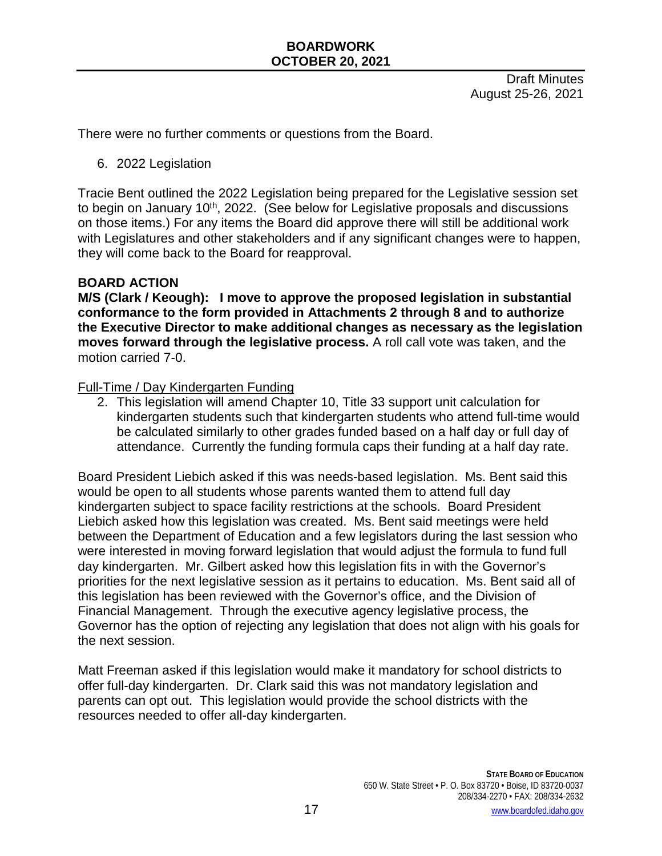Draft Minutes August 25-26, 2021

There were no further comments or questions from the Board.

6. 2022 Legislation

Tracie Bent outlined the 2022 Legislation being prepared for the Legislative session set to begin on January 10<sup>th</sup>, 2022. (See below for Legislative proposals and discussions on those items.) For any items the Board did approve there will still be additional work with Legislatures and other stakeholders and if any significant changes were to happen, they will come back to the Board for reapproval.

### **BOARD ACTION**

**M/S (Clark / Keough): I move to approve the proposed legislation in substantial conformance to the form provided in Attachments 2 through 8 and to authorize the Executive Director to make additional changes as necessary as the legislation moves forward through the legislative process.** A roll call vote was taken, and the motion carried 7-0.

#### Full-Time / Day Kindergarten Funding

2. This legislation will amend Chapter 10, Title 33 support unit calculation for kindergarten students such that kindergarten students who attend full-time would be calculated similarly to other grades funded based on a half day or full day of attendance. Currently the funding formula caps their funding at a half day rate.

Board President Liebich asked if this was needs-based legislation. Ms. Bent said this would be open to all students whose parents wanted them to attend full day kindergarten subject to space facility restrictions at the schools. Board President Liebich asked how this legislation was created. Ms. Bent said meetings were held between the Department of Education and a few legislators during the last session who were interested in moving forward legislation that would adjust the formula to fund full day kindergarten. Mr. Gilbert asked how this legislation fits in with the Governor's priorities for the next legislative session as it pertains to education. Ms. Bent said all of this legislation has been reviewed with the Governor's office, and the Division of Financial Management. Through the executive agency legislative process, the Governor has the option of rejecting any legislation that does not align with his goals for the next session.

Matt Freeman asked if this legislation would make it mandatory for school districts to offer full-day kindergarten. Dr. Clark said this was not mandatory legislation and parents can opt out. This legislation would provide the school districts with the resources needed to offer all-day kindergarten.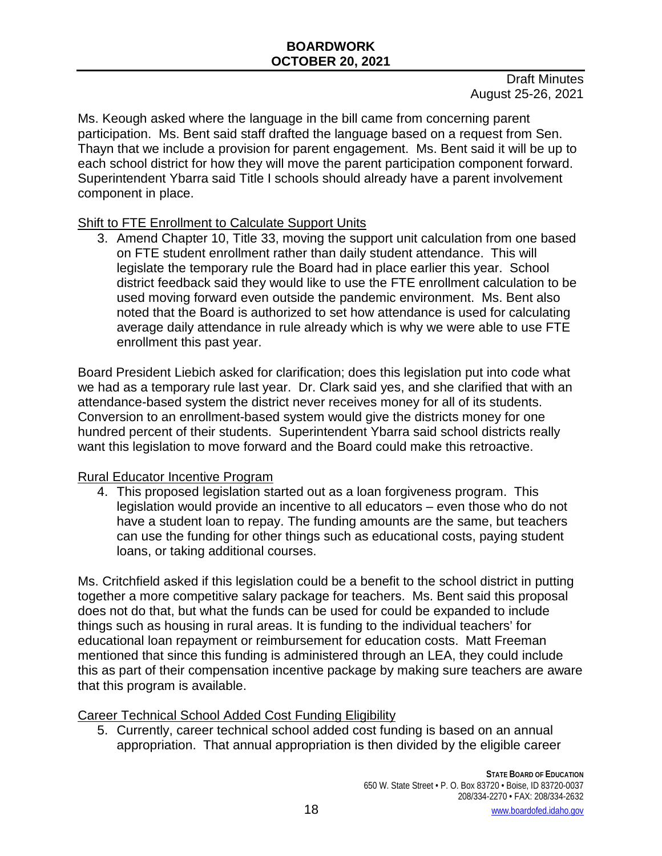Ms. Keough asked where the language in the bill came from concerning parent participation. Ms. Bent said staff drafted the language based on a request from Sen. Thayn that we include a provision for parent engagement. Ms. Bent said it will be up to each school district for how they will move the parent participation component forward. Superintendent Ybarra said Title I schools should already have a parent involvement component in place.

# Shift to FTE Enrollment to Calculate Support Units

3. Amend Chapter 10, Title 33, moving the support unit calculation from one based on FTE student enrollment rather than daily student attendance. This will legislate the temporary rule the Board had in place earlier this year. School district feedback said they would like to use the FTE enrollment calculation to be used moving forward even outside the pandemic environment. Ms. Bent also noted that the Board is authorized to set how attendance is used for calculating average daily attendance in rule already which is why we were able to use FTE enrollment this past year.

Board President Liebich asked for clarification; does this legislation put into code what we had as a temporary rule last year. Dr. Clark said yes, and she clarified that with an attendance-based system the district never receives money for all of its students. Conversion to an enrollment-based system would give the districts money for one hundred percent of their students. Superintendent Ybarra said school districts really want this legislation to move forward and the Board could make this retroactive.

# Rural Educator Incentive Program

4. This proposed legislation started out as a loan forgiveness program. This legislation would provide an incentive to all educators – even those who do not have a student loan to repay. The funding amounts are the same, but teachers can use the funding for other things such as educational costs, paying student loans, or taking additional courses.

Ms. Critchfield asked if this legislation could be a benefit to the school district in putting together a more competitive salary package for teachers. Ms. Bent said this proposal does not do that, but what the funds can be used for could be expanded to include things such as housing in rural areas. It is funding to the individual teachers' for educational loan repayment or reimbursement for education costs. Matt Freeman mentioned that since this funding is administered through an LEA, they could include this as part of their compensation incentive package by making sure teachers are aware that this program is available.

Career Technical School Added Cost Funding Eligibility

5. Currently, career technical school added cost funding is based on an annual appropriation. That annual appropriation is then divided by the eligible career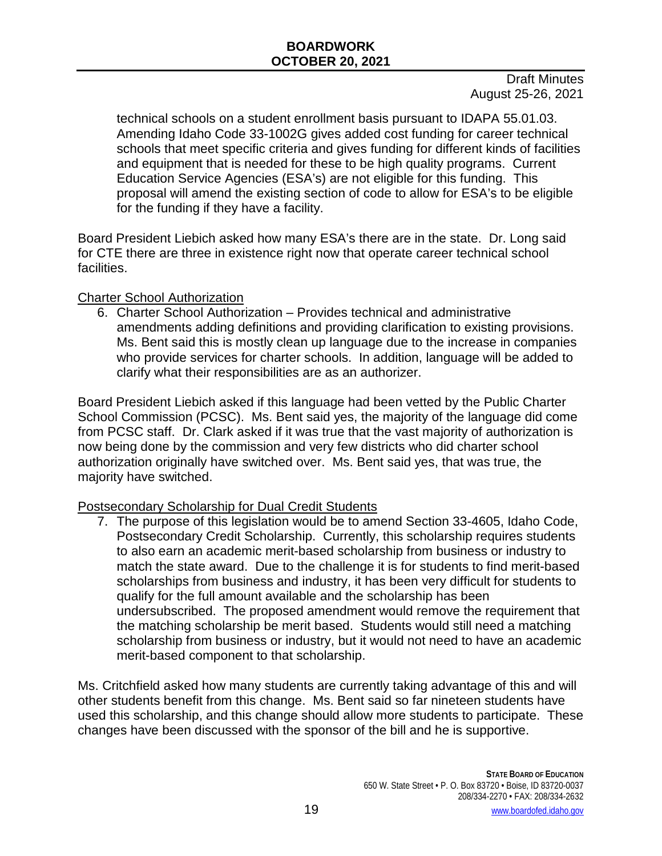Draft Minutes August 25-26, 2021

technical schools on a student enrollment basis pursuant to IDAPA 55.01.03. Amending Idaho Code 33-1002G gives added cost funding for career technical schools that meet specific criteria and gives funding for different kinds of facilities and equipment that is needed for these to be high quality programs. Current Education Service Agencies (ESA's) are not eligible for this funding. This proposal will amend the existing section of code to allow for ESA's to be eligible for the funding if they have a facility.

Board President Liebich asked how many ESA's there are in the state. Dr. Long said for CTE there are three in existence right now that operate career technical school facilities.

#### Charter School Authorization

6. Charter School Authorization – Provides technical and administrative amendments adding definitions and providing clarification to existing provisions. Ms. Bent said this is mostly clean up language due to the increase in companies who provide services for charter schools. In addition, language will be added to clarify what their responsibilities are as an authorizer.

Board President Liebich asked if this language had been vetted by the Public Charter School Commission (PCSC). Ms. Bent said yes, the majority of the language did come from PCSC staff. Dr. Clark asked if it was true that the vast majority of authorization is now being done by the commission and very few districts who did charter school authorization originally have switched over. Ms. Bent said yes, that was true, the majority have switched.

### Postsecondary Scholarship for Dual Credit Students

7. The purpose of this legislation would be to amend Section 33-4605, Idaho Code, Postsecondary Credit Scholarship. Currently, this scholarship requires students to also earn an academic merit-based scholarship from business or industry to match the state award. Due to the challenge it is for students to find merit-based scholarships from business and industry, it has been very difficult for students to qualify for the full amount available and the scholarship has been undersubscribed. The proposed amendment would remove the requirement that the matching scholarship be merit based. Students would still need a matching scholarship from business or industry, but it would not need to have an academic merit-based component to that scholarship.

Ms. Critchfield asked how many students are currently taking advantage of this and will other students benefit from this change. Ms. Bent said so far nineteen students have used this scholarship, and this change should allow more students to participate. These changes have been discussed with the sponsor of the bill and he is supportive.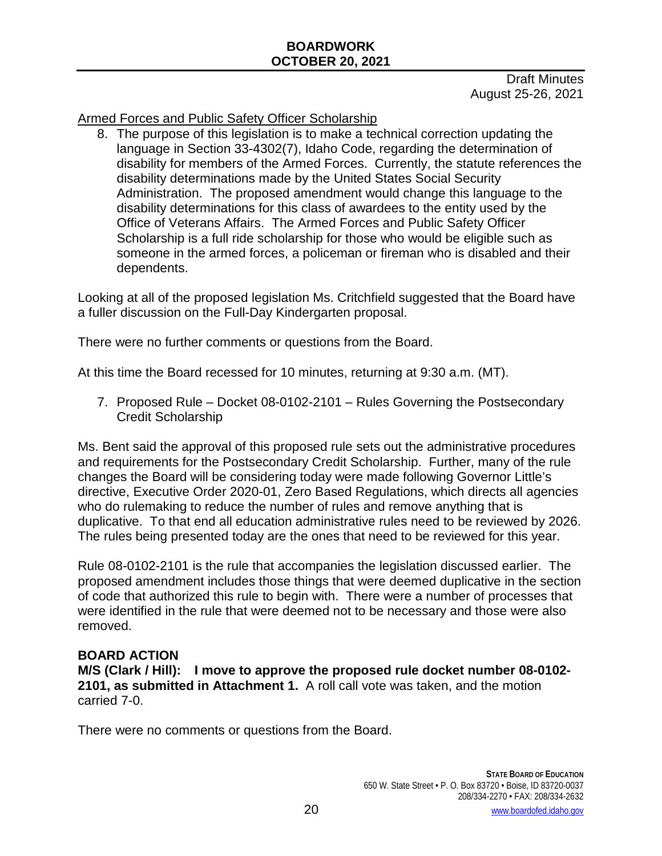Draft Minutes August 25-26, 2021

Armed Forces and Public Safety Officer Scholarship

8. The purpose of this legislation is to make a technical correction updating the language in Section 33-4302(7), Idaho Code, regarding the determination of disability for members of the Armed Forces. Currently, the statute references the disability determinations made by the United States Social Security Administration. The proposed amendment would change this language to the disability determinations for this class of awardees to the entity used by the Office of Veterans Affairs. The Armed Forces and Public Safety Officer Scholarship is a full ride scholarship for those who would be eligible such as someone in the armed forces, a policeman or fireman who is disabled and their dependents.

Looking at all of the proposed legislation Ms. Critchfield suggested that the Board have a fuller discussion on the Full-Day Kindergarten proposal.

There were no further comments or questions from the Board.

At this time the Board recessed for 10 minutes, returning at 9:30 a.m. (MT).

7. Proposed Rule – Docket 08-0102-2101 – Rules Governing the Postsecondary Credit Scholarship

Ms. Bent said the approval of this proposed rule sets out the administrative procedures and requirements for the Postsecondary Credit Scholarship. Further, many of the rule changes the Board will be considering today were made following Governor Little's directive, Executive Order 2020-01, Zero Based Regulations, which directs all agencies who do rulemaking to reduce the number of rules and remove anything that is duplicative. To that end all education administrative rules need to be reviewed by 2026. The rules being presented today are the ones that need to be reviewed for this year.

Rule 08-0102-2101 is the rule that accompanies the legislation discussed earlier. The proposed amendment includes those things that were deemed duplicative in the section of code that authorized this rule to begin with. There were a number of processes that were identified in the rule that were deemed not to be necessary and those were also removed.

#### **BOARD ACTION**

**M/S (Clark / Hill): I move to approve the proposed rule docket number 08-0102- 2101, as submitted in Attachment 1.** A roll call vote was taken, and the motion carried 7-0.

There were no comments or questions from the Board.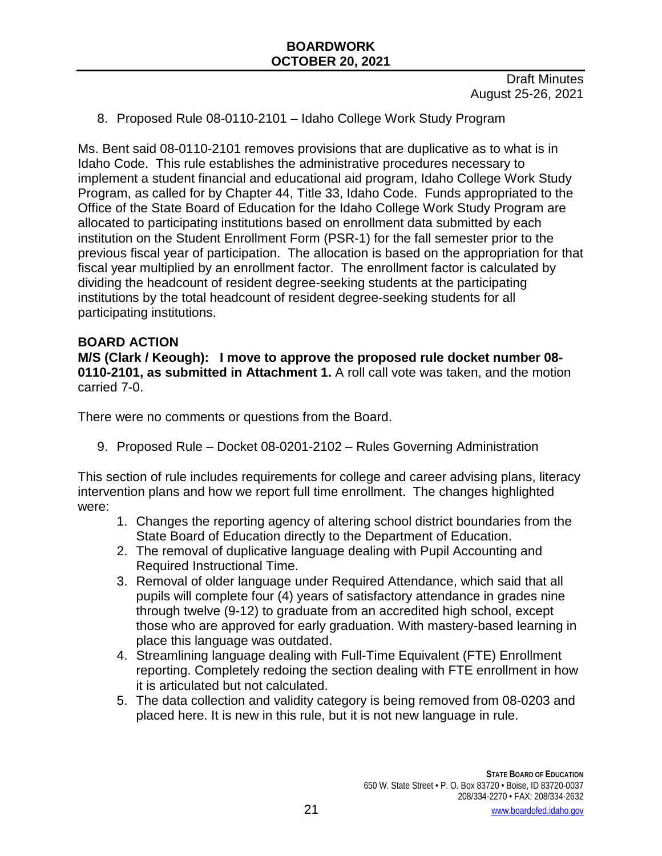Draft Minutes August 25-26, 2021

8. Proposed Rule 08-0110-2101 – Idaho College Work Study Program

Ms. Bent said 08-0110-2101 removes provisions that are duplicative as to what is in Idaho Code. This rule establishes the administrative procedures necessary to implement a student financial and educational aid program, Idaho College Work Study Program, as called for by Chapter 44, Title 33, Idaho Code. Funds appropriated to the Office of the State Board of Education for the Idaho College Work Study Program are allocated to participating institutions based on enrollment data submitted by each institution on the Student Enrollment Form (PSR-1) for the fall semester prior to the previous fiscal year of participation. The allocation is based on the appropriation for that fiscal year multiplied by an enrollment factor. The enrollment factor is calculated by dividing the headcount of resident degree-seeking students at the participating institutions by the total headcount of resident degree-seeking students for all participating institutions.

#### **BOARD ACTION**

**M/S (Clark / Keough): I move to approve the proposed rule docket number 08- 0110-2101, as submitted in Attachment 1.** A roll call vote was taken, and the motion carried 7-0.

There were no comments or questions from the Board.

9. Proposed Rule – Docket 08-0201-2102 – Rules Governing Administration

This section of rule includes requirements for college and career advising plans, literacy intervention plans and how we report full time enrollment. The changes highlighted were:

- 1. Changes the reporting agency of altering school district boundaries from the State Board of Education directly to the Department of Education.
- 2. The removal of duplicative language dealing with Pupil Accounting and Required Instructional Time.
- 3. Removal of older language under Required Attendance, which said that all pupils will complete four (4) years of satisfactory attendance in grades nine through twelve (9-12) to graduate from an accredited high school, except those who are approved for early graduation. With mastery-based learning in place this language was outdated.
- 4. Streamlining language dealing with Full-Time Equivalent (FTE) Enrollment reporting. Completely redoing the section dealing with FTE enrollment in how it is articulated but not calculated.
- 5. The data collection and validity category is being removed from 08-0203 and placed here. It is new in this rule, but it is not new language in rule.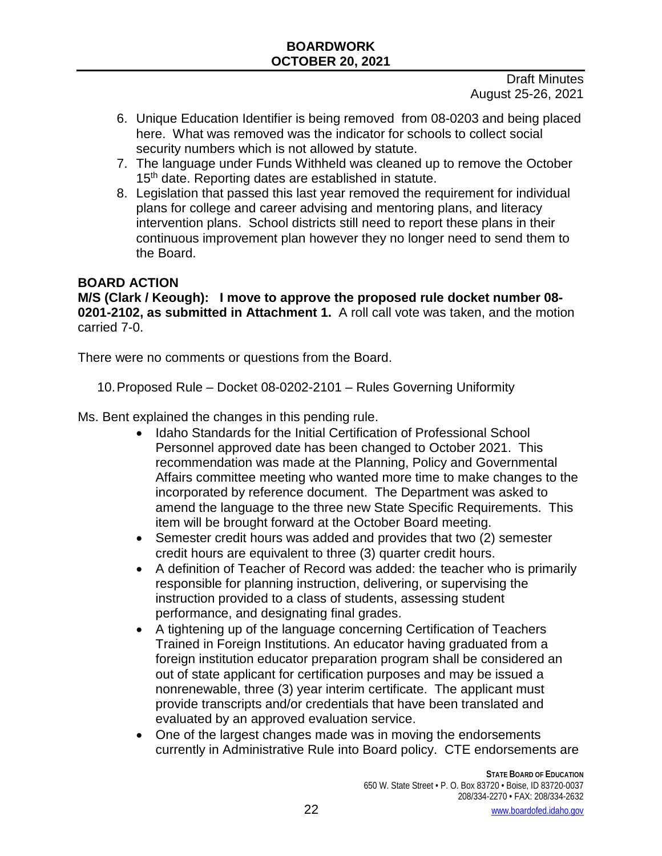Draft Minutes August 25-26, 2021

- 6. Unique Education Identifier is being removed from 08-0203 and being placed here. What was removed was the indicator for schools to collect social security numbers which is not allowed by statute.
- 7. The language under Funds Withheld was cleaned up to remove the October 15<sup>th</sup> date. Reporting dates are established in statute.
- 8. Legislation that passed this last year removed the requirement for individual plans for college and career advising and mentoring plans, and literacy intervention plans. School districts still need to report these plans in their continuous improvement plan however they no longer need to send them to the Board.

# **BOARD ACTION**

**M/S (Clark / Keough): I move to approve the proposed rule docket number 08- 0201-2102, as submitted in Attachment 1.** A roll call vote was taken, and the motion carried 7-0.

There were no comments or questions from the Board.

10.Proposed Rule – Docket 08-0202-2101 – Rules Governing Uniformity

Ms. Bent explained the changes in this pending rule.

- Idaho Standards for the Initial Certification of Professional School Personnel approved date has been changed to October 2021. This recommendation was made at the Planning, Policy and Governmental Affairs committee meeting who wanted more time to make changes to the incorporated by reference document. The Department was asked to amend the language to the three new State Specific Requirements. This item will be brought forward at the October Board meeting.
- Semester credit hours was added and provides that two (2) semester credit hours are equivalent to three (3) quarter credit hours.
- A definition of Teacher of Record was added: the teacher who is primarily responsible for planning instruction, delivering, or supervising the instruction provided to a class of students, assessing student performance, and designating final grades.
- A tightening up of the language concerning Certification of Teachers Trained in Foreign Institutions. An educator having graduated from a foreign institution educator preparation program shall be considered an out of state applicant for certification purposes and may be issued a nonrenewable, three (3) year interim certificate. The applicant must provide transcripts and/or credentials that have been translated and evaluated by an approved evaluation service.
- One of the largest changes made was in moving the endorsements currently in Administrative Rule into Board policy. CTE endorsements are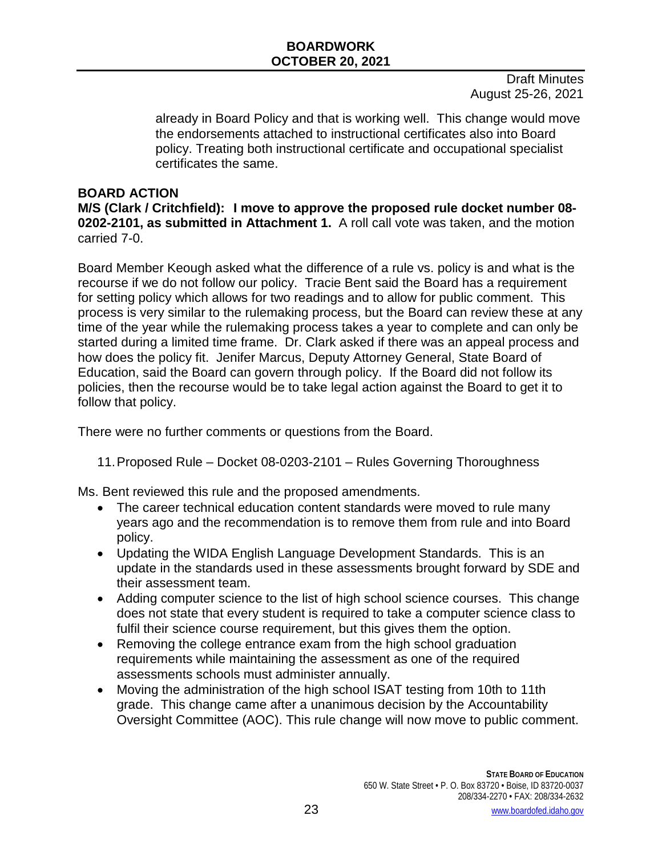Draft Minutes August 25-26, 2021

already in Board Policy and that is working well. This change would move the endorsements attached to instructional certificates also into Board policy. Treating both instructional certificate and occupational specialist certificates the same.

#### **BOARD ACTION**

**M/S (Clark / Critchfield): I move to approve the proposed rule docket number 08- 0202-2101, as submitted in Attachment 1.** A roll call vote was taken, and the motion carried 7-0.

Board Member Keough asked what the difference of a rule vs. policy is and what is the recourse if we do not follow our policy. Tracie Bent said the Board has a requirement for setting policy which allows for two readings and to allow for public comment. This process is very similar to the rulemaking process, but the Board can review these at any time of the year while the rulemaking process takes a year to complete and can only be started during a limited time frame. Dr. Clark asked if there was an appeal process and how does the policy fit. Jenifer Marcus, Deputy Attorney General, State Board of Education, said the Board can govern through policy. If the Board did not follow its policies, then the recourse would be to take legal action against the Board to get it to follow that policy.

There were no further comments or questions from the Board.

11.Proposed Rule – Docket 08-0203-2101 – Rules Governing Thoroughness

Ms. Bent reviewed this rule and the proposed amendments.

- The career technical education content standards were moved to rule many years ago and the recommendation is to remove them from rule and into Board policy.
- Updating the WIDA English Language Development Standards. This is an update in the standards used in these assessments brought forward by SDE and their assessment team.
- Adding computer science to the list of high school science courses. This change does not state that every student is required to take a computer science class to fulfil their science course requirement, but this gives them the option.
- Removing the college entrance exam from the high school graduation requirements while maintaining the assessment as one of the required assessments schools must administer annually.
- Moving the administration of the high school ISAT testing from 10th to 11th grade. This change came after a unanimous decision by the Accountability Oversight Committee (AOC). This rule change will now move to public comment.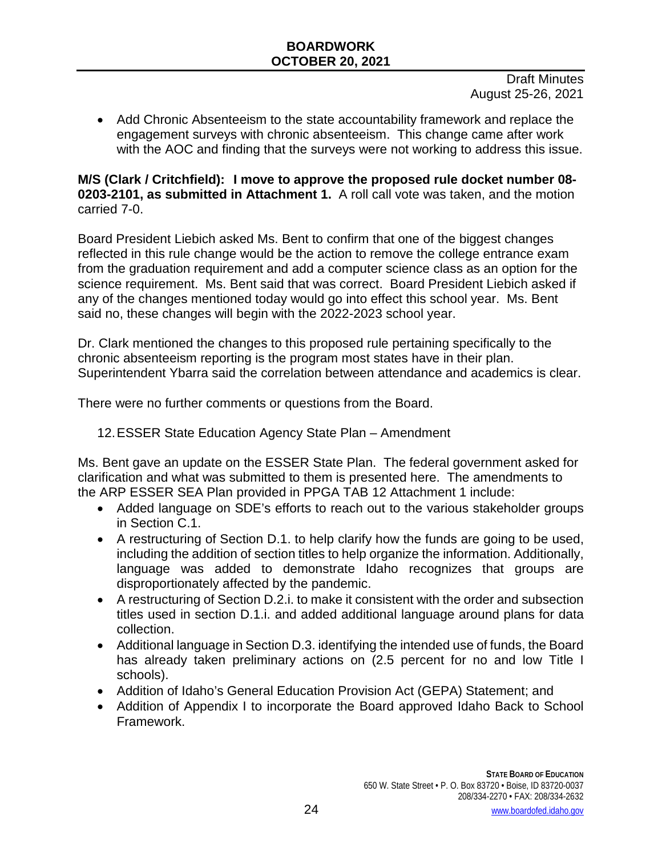Draft Minutes August 25-26, 2021

• Add Chronic Absenteeism to the state accountability framework and replace the engagement surveys with chronic absenteeism. This change came after work with the AOC and finding that the surveys were not working to address this issue.

#### **M/S (Clark / Critchfield): I move to approve the proposed rule docket number 08- 0203-2101, as submitted in Attachment 1.** A roll call vote was taken, and the motion carried 7-0.

Board President Liebich asked Ms. Bent to confirm that one of the biggest changes reflected in this rule change would be the action to remove the college entrance exam from the graduation requirement and add a computer science class as an option for the science requirement. Ms. Bent said that was correct. Board President Liebich asked if any of the changes mentioned today would go into effect this school year. Ms. Bent said no, these changes will begin with the 2022-2023 school year.

Dr. Clark mentioned the changes to this proposed rule pertaining specifically to the chronic absenteeism reporting is the program most states have in their plan. Superintendent Ybarra said the correlation between attendance and academics is clear.

There were no further comments or questions from the Board.

12.ESSER State Education Agency State Plan – Amendment

Ms. Bent gave an update on the ESSER State Plan. The federal government asked for clarification and what was submitted to them is presented here. The amendments to the ARP ESSER SEA Plan provided in PPGA TAB 12 Attachment 1 include:

- Added language on SDE's efforts to reach out to the various stakeholder groups in Section C.1.
- A restructuring of Section D.1, to help clarify how the funds are going to be used, including the addition of section titles to help organize the information. Additionally, language was added to demonstrate Idaho recognizes that groups are disproportionately affected by the pandemic.
- A restructuring of Section D.2.i. to make it consistent with the order and subsection titles used in section D.1.i. and added additional language around plans for data collection.
- Additional language in Section D.3. identifying the intended use of funds, the Board has already taken preliminary actions on (2.5 percent for no and low Title I schools).
- Addition of Idaho's General Education Provision Act (GEPA) Statement; and
- Addition of Appendix I to incorporate the Board approved Idaho Back to School Framework.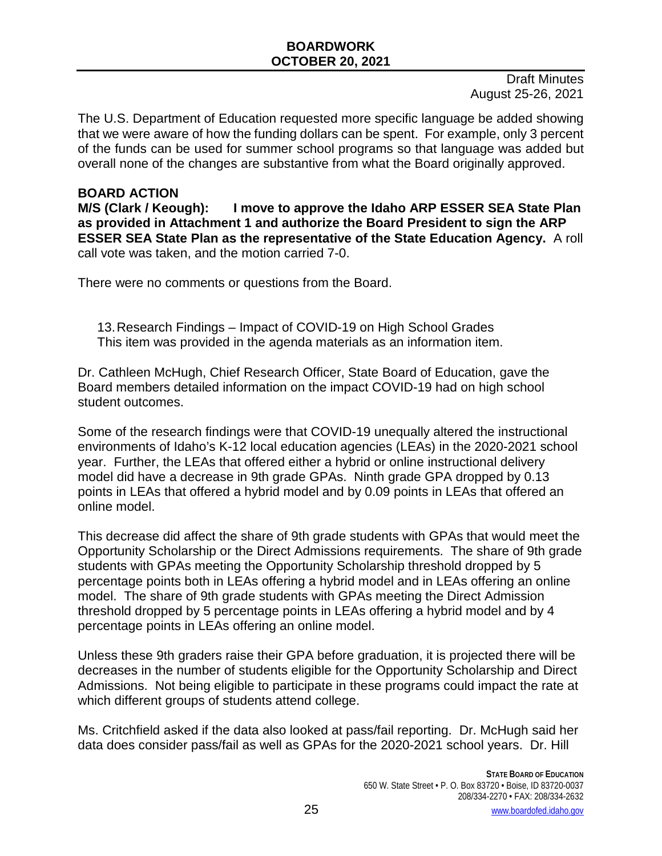Draft Minutes August 25-26, 2021

The U.S. Department of Education requested more specific language be added showing that we were aware of how the funding dollars can be spent. For example, only 3 percent of the funds can be used for summer school programs so that language was added but overall none of the changes are substantive from what the Board originally approved.

**BOARD ACTION**<br>M/S (Clark / Keough): **I move to approve the Idaho ARP ESSER SEA State Plan as provided in Attachment 1 and authorize the Board President to sign the ARP ESSER SEA State Plan as the representative of the State Education Agency.** A roll call vote was taken, and the motion carried 7-0.

There were no comments or questions from the Board.

13.Research Findings – Impact of COVID-19 on High School Grades This item was provided in the agenda materials as an information item.

Dr. Cathleen McHugh, Chief Research Officer, State Board of Education, gave the Board members detailed information on the impact COVID-19 had on high school student outcomes.

Some of the research findings were that COVID-19 unequally altered the instructional environments of Idaho's K-12 local education agencies (LEAs) in the 2020-2021 school year. Further, the LEAs that offered either a hybrid or online instructional delivery model did have a decrease in 9th grade GPAs. Ninth grade GPA dropped by 0.13 points in LEAs that offered a hybrid model and by 0.09 points in LEAs that offered an online model.

This decrease did affect the share of 9th grade students with GPAs that would meet the Opportunity Scholarship or the Direct Admissions requirements. The share of 9th grade students with GPAs meeting the Opportunity Scholarship threshold dropped by 5 percentage points both in LEAs offering a hybrid model and in LEAs offering an online model. The share of 9th grade students with GPAs meeting the Direct Admission threshold dropped by 5 percentage points in LEAs offering a hybrid model and by 4 percentage points in LEAs offering an online model.

Unless these 9th graders raise their GPA before graduation, it is projected there will be decreases in the number of students eligible for the Opportunity Scholarship and Direct Admissions. Not being eligible to participate in these programs could impact the rate at which different groups of students attend college.

Ms. Critchfield asked if the data also looked at pass/fail reporting. Dr. McHugh said her data does consider pass/fail as well as GPAs for the 2020-2021 school years. Dr. Hill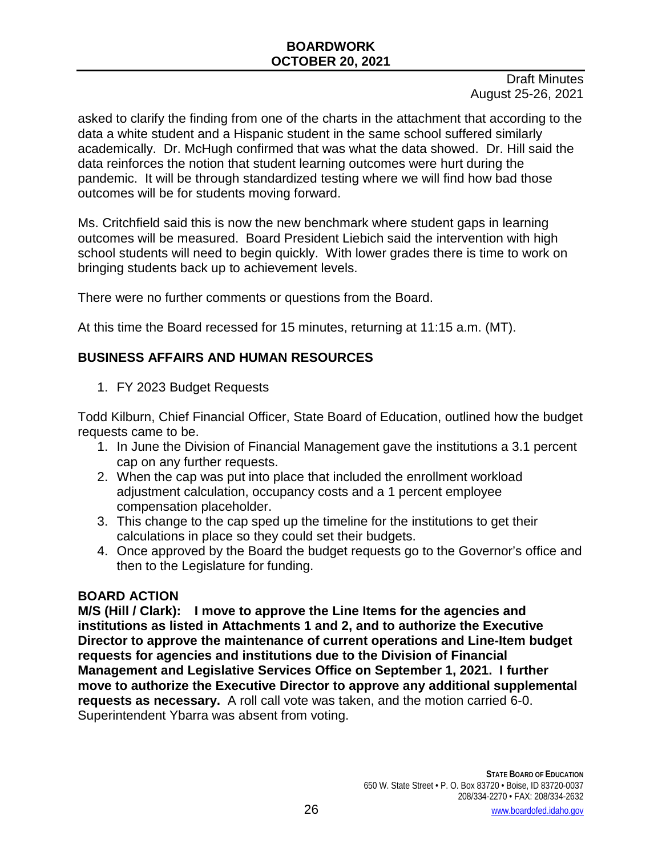Draft Minutes August 25-26, 2021

asked to clarify the finding from one of the charts in the attachment that according to the data a white student and a Hispanic student in the same school suffered similarly academically. Dr. McHugh confirmed that was what the data showed. Dr. Hill said the data reinforces the notion that student learning outcomes were hurt during the pandemic. It will be through standardized testing where we will find how bad those outcomes will be for students moving forward.

Ms. Critchfield said this is now the new benchmark where student gaps in learning outcomes will be measured. Board President Liebich said the intervention with high school students will need to begin quickly. With lower grades there is time to work on bringing students back up to achievement levels.

There were no further comments or questions from the Board.

At this time the Board recessed for 15 minutes, returning at 11:15 a.m. (MT).

# **BUSINESS AFFAIRS AND HUMAN RESOURCES**

1. FY 2023 Budget Requests

Todd Kilburn, Chief Financial Officer, State Board of Education, outlined how the budget requests came to be.

- 1. In June the Division of Financial Management gave the institutions a 3.1 percent cap on any further requests.
- 2. When the cap was put into place that included the enrollment workload adjustment calculation, occupancy costs and a 1 percent employee compensation placeholder.
- 3. This change to the cap sped up the timeline for the institutions to get their calculations in place so they could set their budgets.
- 4. Once approved by the Board the budget requests go to the Governor's office and then to the Legislature for funding.

### **BOARD ACTION**

**M/S (Hill / Clark): I move to approve the Line Items for the agencies and institutions as listed in Attachments 1 and 2, and to authorize the Executive Director to approve the maintenance of current operations and Line-Item budget requests for agencies and institutions due to the Division of Financial Management and Legislative Services Office on September 1, 2021. I further move to authorize the Executive Director to approve any additional supplemental requests as necessary.** A roll call vote was taken, and the motion carried 6-0. Superintendent Ybarra was absent from voting.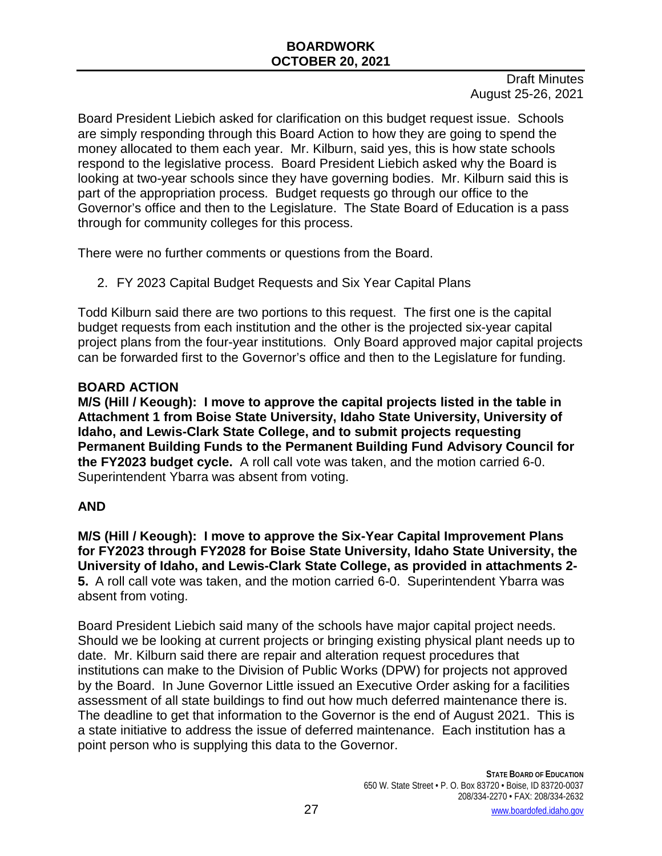Draft Minutes August 25-26, 2021

Board President Liebich asked for clarification on this budget request issue. Schools are simply responding through this Board Action to how they are going to spend the money allocated to them each year. Mr. Kilburn, said yes, this is how state schools respond to the legislative process. Board President Liebich asked why the Board is looking at two-year schools since they have governing bodies. Mr. Kilburn said this is part of the appropriation process. Budget requests go through our office to the Governor's office and then to the Legislature. The State Board of Education is a pass through for community colleges for this process.

There were no further comments or questions from the Board.

2. FY 2023 Capital Budget Requests and Six Year Capital Plans

Todd Kilburn said there are two portions to this request. The first one is the capital budget requests from each institution and the other is the projected six-year capital project plans from the four-year institutions. Only Board approved major capital projects can be forwarded first to the Governor's office and then to the Legislature for funding.

# **BOARD ACTION**

**M/S (Hill / Keough): I move to approve the capital projects listed in the table in Attachment 1 from Boise State University, Idaho State University, University of Idaho, and Lewis-Clark State College, and to submit projects requesting Permanent Building Funds to the Permanent Building Fund Advisory Council for the FY2023 budget cycle.** A roll call vote was taken, and the motion carried 6-0. Superintendent Ybarra was absent from voting.

# **AND**

**M/S (Hill / Keough): I move to approve the Six-Year Capital Improvement Plans for FY2023 through FY2028 for Boise State University, Idaho State University, the University of Idaho, and Lewis-Clark State College, as provided in attachments 2- 5.** A roll call vote was taken, and the motion carried 6-0. Superintendent Ybarra was absent from voting.

Board President Liebich said many of the schools have major capital project needs. Should we be looking at current projects or bringing existing physical plant needs up to date. Mr. Kilburn said there are repair and alteration request procedures that institutions can make to the Division of Public Works (DPW) for projects not approved by the Board. In June Governor Little issued an Executive Order asking for a facilities assessment of all state buildings to find out how much deferred maintenance there is. The deadline to get that information to the Governor is the end of August 2021. This is a state initiative to address the issue of deferred maintenance. Each institution has a point person who is supplying this data to the Governor.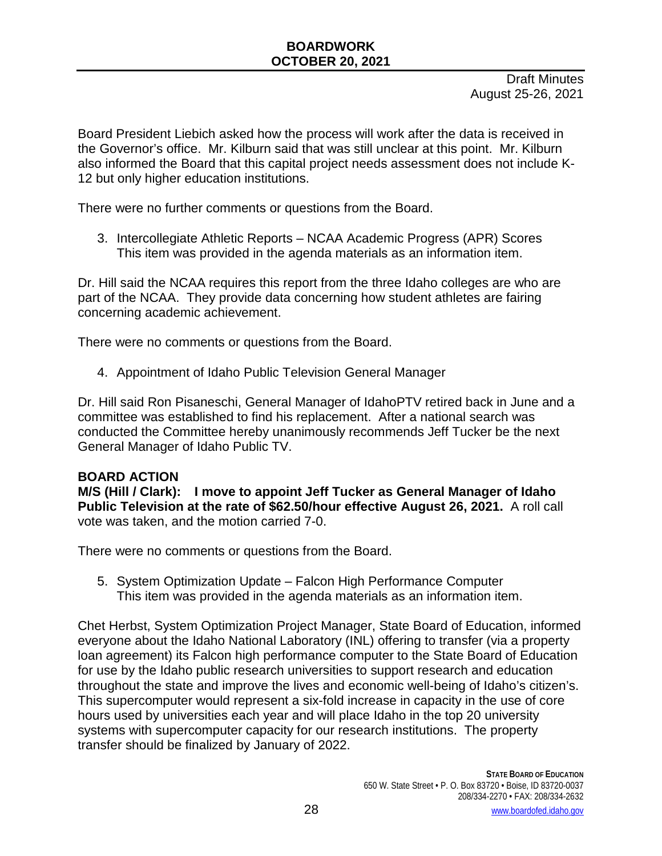Draft Minutes August 25-26, 2021

Board President Liebich asked how the process will work after the data is received in the Governor's office. Mr. Kilburn said that was still unclear at this point. Mr. Kilburn also informed the Board that this capital project needs assessment does not include K-12 but only higher education institutions.

There were no further comments or questions from the Board.

3. Intercollegiate Athletic Reports – NCAA Academic Progress (APR) Scores This item was provided in the agenda materials as an information item.

Dr. Hill said the NCAA requires this report from the three Idaho colleges are who are part of the NCAA. They provide data concerning how student athletes are fairing concerning academic achievement.

There were no comments or questions from the Board.

4. Appointment of Idaho Public Television General Manager

Dr. Hill said Ron Pisaneschi, General Manager of IdahoPTV retired back in June and a committee was established to find his replacement. After a national search was conducted the Committee hereby unanimously recommends Jeff Tucker be the next General Manager of Idaho Public TV.

#### **BOARD ACTION**

**M/S (Hill / Clark): I move to appoint Jeff Tucker as General Manager of Idaho Public Television at the rate of \$62.50/hour effective August 26, 2021.** A roll call vote was taken, and the motion carried 7-0.

There were no comments or questions from the Board.

5. System Optimization Update – Falcon High Performance Computer This item was provided in the agenda materials as an information item.

Chet Herbst, System Optimization Project Manager, State Board of Education, informed everyone about the Idaho National Laboratory (INL) offering to transfer (via a property loan agreement) its Falcon high performance computer to the State Board of Education for use by the Idaho public research universities to support research and education throughout the state and improve the lives and economic well-being of Idaho's citizen's. This supercomputer would represent a six-fold increase in capacity in the use of core hours used by universities each year and will place Idaho in the top 20 university systems with supercomputer capacity for our research institutions. The property transfer should be finalized by January of 2022.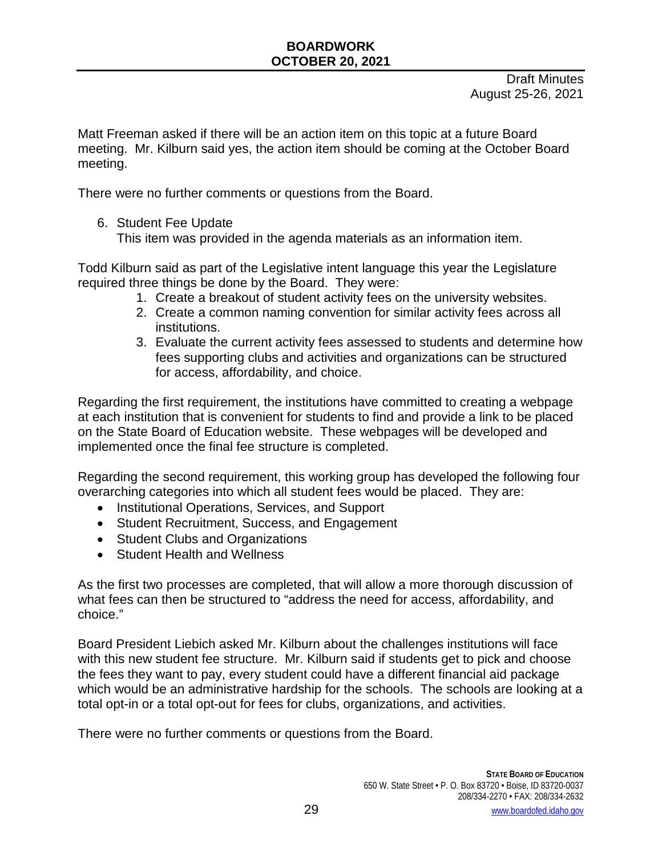Matt Freeman asked if there will be an action item on this topic at a future Board meeting. Mr. Kilburn said yes, the action item should be coming at the October Board meeting.

There were no further comments or questions from the Board.

6. Student Fee Update

This item was provided in the agenda materials as an information item.

Todd Kilburn said as part of the Legislative intent language this year the Legislature required three things be done by the Board. They were:

- 1. Create a breakout of student activity fees on the university websites.
- 2. Create a common naming convention for similar activity fees across all institutions.
- 3. Evaluate the current activity fees assessed to students and determine how fees supporting clubs and activities and organizations can be structured for access, affordability, and choice.

Regarding the first requirement, the institutions have committed to creating a webpage at each institution that is convenient for students to find and provide a link to be placed on the State Board of Education website. These webpages will be developed and implemented once the final fee structure is completed.

Regarding the second requirement, this working group has developed the following four overarching categories into which all student fees would be placed. They are:

- Institutional Operations, Services, and Support
- Student Recruitment, Success, and Engagement
- Student Clubs and Organizations
- Student Health and Wellness

As the first two processes are completed, that will allow a more thorough discussion of what fees can then be structured to "address the need for access, affordability, and choice."

Board President Liebich asked Mr. Kilburn about the challenges institutions will face with this new student fee structure. Mr. Kilburn said if students get to pick and choose the fees they want to pay, every student could have a different financial aid package which would be an administrative hardship for the schools. The schools are looking at a total opt-in or a total opt-out for fees for clubs, organizations, and activities.

There were no further comments or questions from the Board.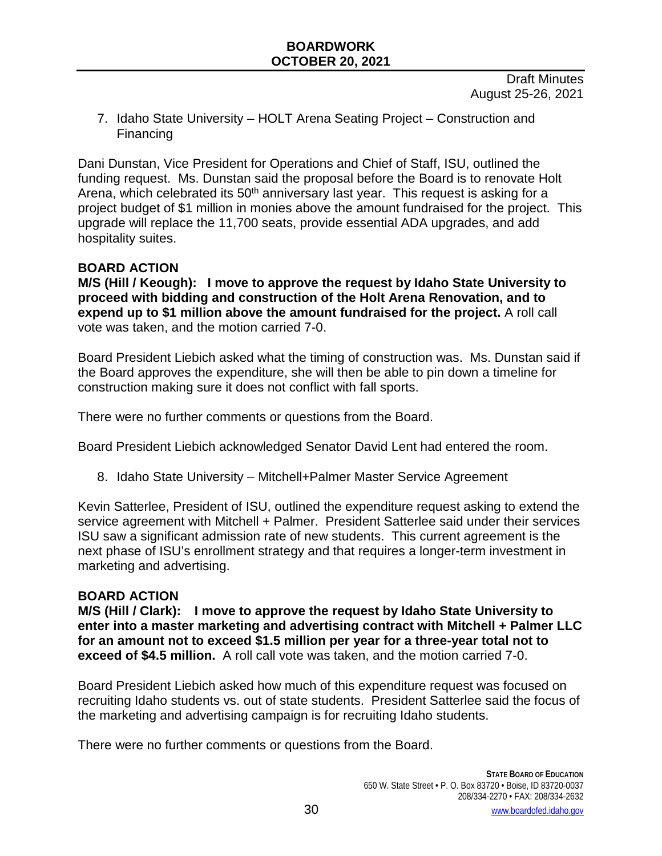Draft Minutes August 25-26, 2021

7. Idaho State University – HOLT Arena Seating Project – Construction and Financing

Dani Dunstan, Vice President for Operations and Chief of Staff, ISU, outlined the funding request. Ms. Dunstan said the proposal before the Board is to renovate Holt Arena, which celebrated its 50<sup>th</sup> anniversary last year. This request is asking for a project budget of \$1 million in monies above the amount fundraised for the project. This upgrade will replace the 11,700 seats, provide essential ADA upgrades, and add hospitality suites.

# **BOARD ACTION**

**M/S (Hill / Keough): I move to approve the request by Idaho State University to proceed with bidding and construction of the Holt Arena Renovation, and to expend up to \$1 million above the amount fundraised for the project.** A roll call vote was taken, and the motion carried 7-0.

Board President Liebich asked what the timing of construction was. Ms. Dunstan said if the Board approves the expenditure, she will then be able to pin down a timeline for construction making sure it does not conflict with fall sports.

There were no further comments or questions from the Board.

Board President Liebich acknowledged Senator David Lent had entered the room.

8. Idaho State University – Mitchell+Palmer Master Service Agreement

Kevin Satterlee, President of ISU, outlined the expenditure request asking to extend the service agreement with Mitchell + Palmer. President Satterlee said under their services ISU saw a significant admission rate of new students. This current agreement is the next phase of ISU's enrollment strategy and that requires a longer-term investment in marketing and advertising.

### **BOARD ACTION**

**M/S (Hill / Clark): I move to approve the request by Idaho State University to enter into a master marketing and advertising contract with Mitchell + Palmer LLC for an amount not to exceed \$1.5 million per year for a three-year total not to exceed of \$4.5 million.** A roll call vote was taken, and the motion carried 7-0.

Board President Liebich asked how much of this expenditure request was focused on recruiting Idaho students vs. out of state students. President Satterlee said the focus of the marketing and advertising campaign is for recruiting Idaho students.

There were no further comments or questions from the Board.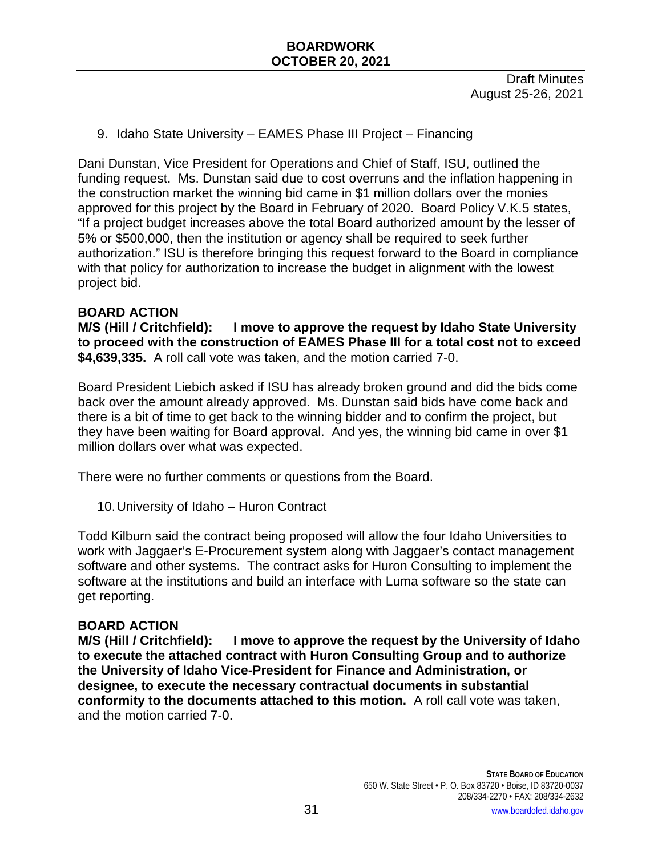9. Idaho State University – EAMES Phase III Project – Financing

Dani Dunstan, Vice President for Operations and Chief of Staff, ISU, outlined the funding request. Ms. Dunstan said due to cost overruns and the inflation happening in the construction market the winning bid came in \$1 million dollars over the monies approved for this project by the Board in February of 2020. Board Policy V.K.5 states, "If a project budget increases above the total Board authorized amount by the lesser of 5% or \$500,000, then the institution or agency shall be required to seek further authorization." ISU is therefore bringing this request forward to the Board in compliance with that policy for authorization to increase the budget in alignment with the lowest project bid.

#### **BOARD ACTION**

**M/S (Hill / Critchfield): I move to approve the request by Idaho State University to proceed with the construction of EAMES Phase III for a total cost not to exceed \$4,639,335.** A roll call vote was taken, and the motion carried 7-0.

Board President Liebich asked if ISU has already broken ground and did the bids come back over the amount already approved. Ms. Dunstan said bids have come back and there is a bit of time to get back to the winning bidder and to confirm the project, but they have been waiting for Board approval. And yes, the winning bid came in over \$1 million dollars over what was expected.

There were no further comments or questions from the Board.

10.University of Idaho – Huron Contract

Todd Kilburn said the contract being proposed will allow the four Idaho Universities to work with Jaggaer's E-Procurement system along with Jaggaer's contact management software and other systems. The contract asks for Huron Consulting to implement the software at the institutions and build an interface with Luma software so the state can get reporting.

#### **BOARD ACTION**

**M/S (Hill / Critchfield): I move to approve the request by the University of Idaho to execute the attached contract with Huron Consulting Group and to authorize the University of Idaho Vice-President for Finance and Administration, or designee, to execute the necessary contractual documents in substantial conformity to the documents attached to this motion.** A roll call vote was taken, and the motion carried 7-0.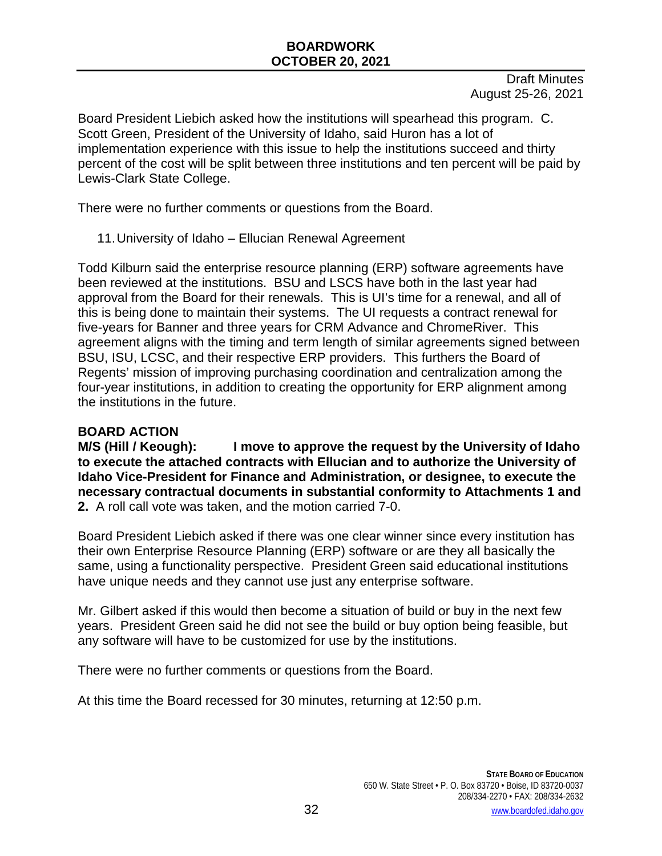Draft Minutes August 25-26, 2021

Board President Liebich asked how the institutions will spearhead this program. C. Scott Green, President of the University of Idaho, said Huron has a lot of implementation experience with this issue to help the institutions succeed and thirty percent of the cost will be split between three institutions and ten percent will be paid by Lewis-Clark State College.

There were no further comments or questions from the Board.

11.University of Idaho – Ellucian Renewal Agreement

Todd Kilburn said the enterprise resource planning (ERP) software agreements have been reviewed at the institutions. BSU and LSCS have both in the last year had approval from the Board for their renewals. This is UI's time for a renewal, and all of this is being done to maintain their systems. The UI requests a contract renewal for five-years for Banner and three years for CRM Advance and ChromeRiver. This agreement aligns with the timing and term length of similar agreements signed between BSU, ISU, LCSC, and their respective ERP providers. This furthers the Board of Regents' mission of improving purchasing coordination and centralization among the four-year institutions, in addition to creating the opportunity for ERP alignment among the institutions in the future.

#### **BOARD ACTION**

**M/S (Hill / Keough): I move to approve the request by the University of Idaho to execute the attached contracts with Ellucian and to authorize the University of Idaho Vice-President for Finance and Administration, or designee, to execute the necessary contractual documents in substantial conformity to Attachments 1 and 2.** A roll call vote was taken, and the motion carried 7-0.

Board President Liebich asked if there was one clear winner since every institution has their own Enterprise Resource Planning (ERP) software or are they all basically the same, using a functionality perspective. President Green said educational institutions have unique needs and they cannot use just any enterprise software.

Mr. Gilbert asked if this would then become a situation of build or buy in the next few years. President Green said he did not see the build or buy option being feasible, but any software will have to be customized for use by the institutions.

There were no further comments or questions from the Board.

At this time the Board recessed for 30 minutes, returning at 12:50 p.m.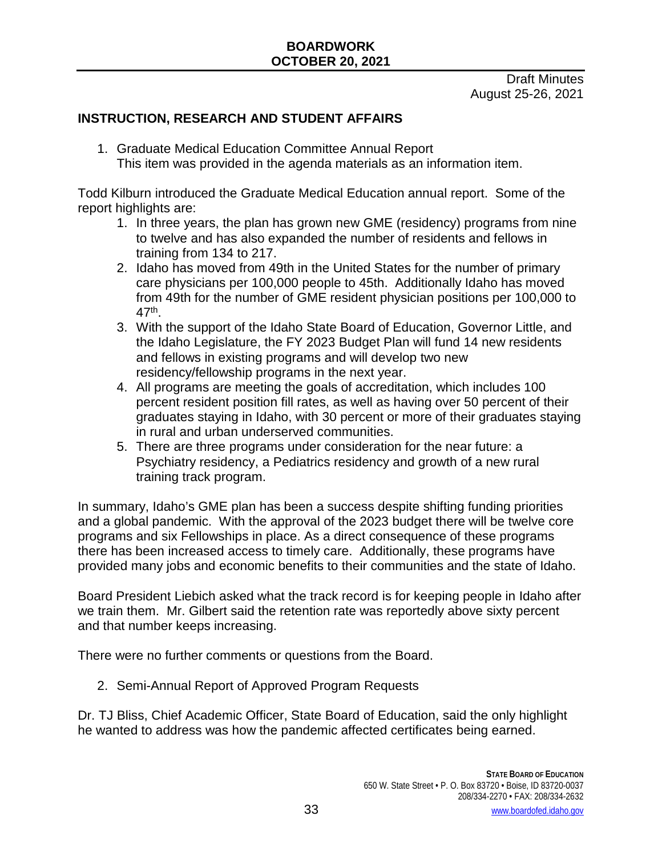Draft Minutes August 25-26, 2021

# **INSTRUCTION, RESEARCH AND STUDENT AFFAIRS**

1. Graduate Medical Education Committee Annual Report This item was provided in the agenda materials as an information item.

Todd Kilburn introduced the Graduate Medical Education annual report. Some of the report highlights are:

- 1. In three years, the plan has grown new GME (residency) programs from nine to twelve and has also expanded the number of residents and fellows in training from 134 to 217.
- 2. Idaho has moved from 49th in the United States for the number of primary care physicians per 100,000 people to 45th. Additionally Idaho has moved from 49th for the number of GME resident physician positions per 100,000 to 47th.
- 3. With the support of the Idaho State Board of Education, Governor Little, and the Idaho Legislature, the FY 2023 Budget Plan will fund 14 new residents and fellows in existing programs and will develop two new residency/fellowship programs in the next year.
- 4. All programs are meeting the goals of accreditation, which includes 100 percent resident position fill rates, as well as having over 50 percent of their graduates staying in Idaho, with 30 percent or more of their graduates staying in rural and urban underserved communities.
- 5. There are three programs under consideration for the near future: a Psychiatry residency, a Pediatrics residency and growth of a new rural training track program.

In summary, Idaho's GME plan has been a success despite shifting funding priorities and a global pandemic. With the approval of the 2023 budget there will be twelve core programs and six Fellowships in place. As a direct consequence of these programs there has been increased access to timely care. Additionally, these programs have provided many jobs and economic benefits to their communities and the state of Idaho.

Board President Liebich asked what the track record is for keeping people in Idaho after we train them. Mr. Gilbert said the retention rate was reportedly above sixty percent and that number keeps increasing.

There were no further comments or questions from the Board.

2. Semi-Annual Report of Approved Program Requests

Dr. TJ Bliss, Chief Academic Officer, State Board of Education, said the only highlight he wanted to address was how the pandemic affected certificates being earned.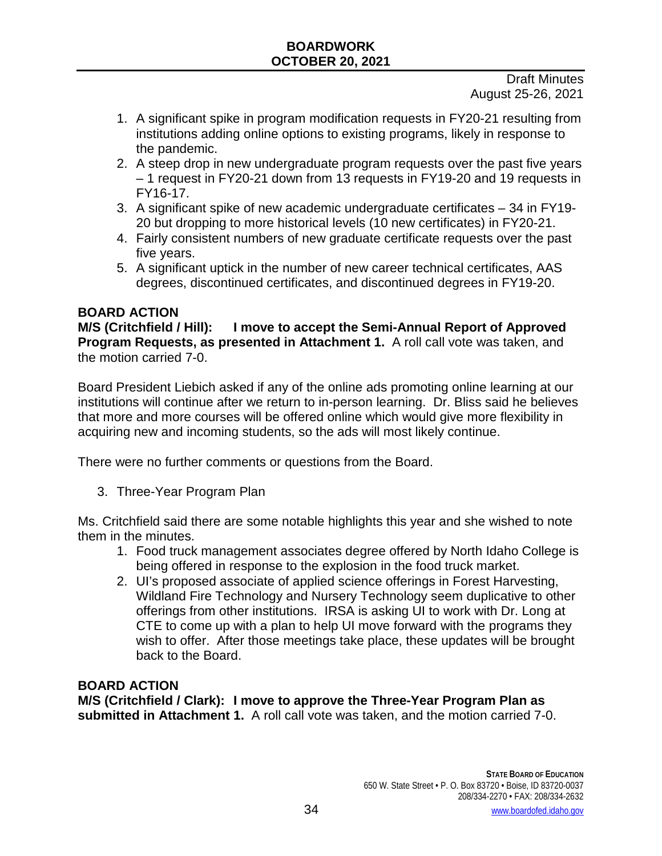Draft Minutes August 25-26, 2021

- 1. A significant spike in program modification requests in FY20-21 resulting from institutions adding online options to existing programs, likely in response to the pandemic.
- 2. A steep drop in new undergraduate program requests over the past five years – 1 request in FY20-21 down from 13 requests in FY19-20 and 19 requests in FY16-17.
- 3. A significant spike of new academic undergraduate certificates 34 in FY19- 20 but dropping to more historical levels (10 new certificates) in FY20-21.
- 4. Fairly consistent numbers of new graduate certificate requests over the past five years.
- 5. A significant uptick in the number of new career technical certificates, AAS degrees, discontinued certificates, and discontinued degrees in FY19-20.

# **BOARD ACTION**

**M/S (Critchfield / Hill): I move to accept the Semi-Annual Report of Approved Program Requests, as presented in Attachment 1.** A roll call vote was taken, and the motion carried 7-0.

Board President Liebich asked if any of the online ads promoting online learning at our institutions will continue after we return to in-person learning. Dr. Bliss said he believes that more and more courses will be offered online which would give more flexibility in acquiring new and incoming students, so the ads will most likely continue.

There were no further comments or questions from the Board.

3. Three-Year Program Plan

Ms. Critchfield said there are some notable highlights this year and she wished to note them in the minutes.

- 1. Food truck management associates degree offered by North Idaho College is being offered in response to the explosion in the food truck market.
- 2. UI's proposed associate of applied science offerings in Forest Harvesting, Wildland Fire Technology and Nursery Technology seem duplicative to other offerings from other institutions. IRSA is asking UI to work with Dr. Long at CTE to come up with a plan to help UI move forward with the programs they wish to offer. After those meetings take place, these updates will be brought back to the Board.

# **BOARD ACTION**

**M/S (Critchfield / Clark): I move to approve the Three-Year Program Plan as submitted in Attachment 1.** A roll call vote was taken, and the motion carried 7-0.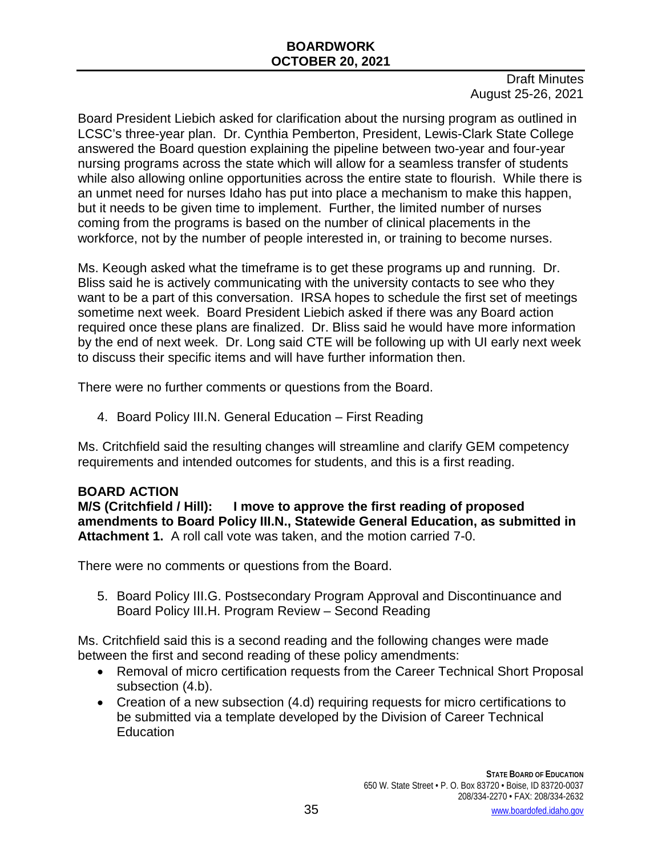Draft Minutes August 25-26, 2021

Board President Liebich asked for clarification about the nursing program as outlined in LCSC's three-year plan. Dr. Cynthia Pemberton, President, Lewis-Clark State College answered the Board question explaining the pipeline between two-year and four-year nursing programs across the state which will allow for a seamless transfer of students while also allowing online opportunities across the entire state to flourish. While there is an unmet need for nurses Idaho has put into place a mechanism to make this happen, but it needs to be given time to implement. Further, the limited number of nurses coming from the programs is based on the number of clinical placements in the workforce, not by the number of people interested in, or training to become nurses.

Ms. Keough asked what the timeframe is to get these programs up and running. Dr. Bliss said he is actively communicating with the university contacts to see who they want to be a part of this conversation. IRSA hopes to schedule the first set of meetings sometime next week. Board President Liebich asked if there was any Board action required once these plans are finalized. Dr. Bliss said he would have more information by the end of next week. Dr. Long said CTE will be following up with UI early next week to discuss their specific items and will have further information then.

There were no further comments or questions from the Board.

4. Board Policy III.N. General Education – First Reading

Ms. Critchfield said the resulting changes will streamline and clarify GEM competency requirements and intended outcomes for students, and this is a first reading.

**BOARD ACTION**<br>M/S (Critchfield / Hill): **Hellow Hillipson I** move to approve the first reading of proposed **amendments to Board Policy III.N., Statewide General Education, as submitted in Attachment 1.** A roll call vote was taken, and the motion carried 7-0.

There were no comments or questions from the Board.

5. Board Policy III.G. Postsecondary Program Approval and Discontinuance and Board Policy III.H. Program Review – Second Reading

Ms. Critchfield said this is a second reading and the following changes were made between the first and second reading of these policy amendments:

- Removal of micro certification requests from the Career Technical Short Proposal subsection  $(4.b)$ .
- Creation of a new subsection (4.d) requiring requests for micro certifications to be submitted via a template developed by the Division of Career Technical **Education**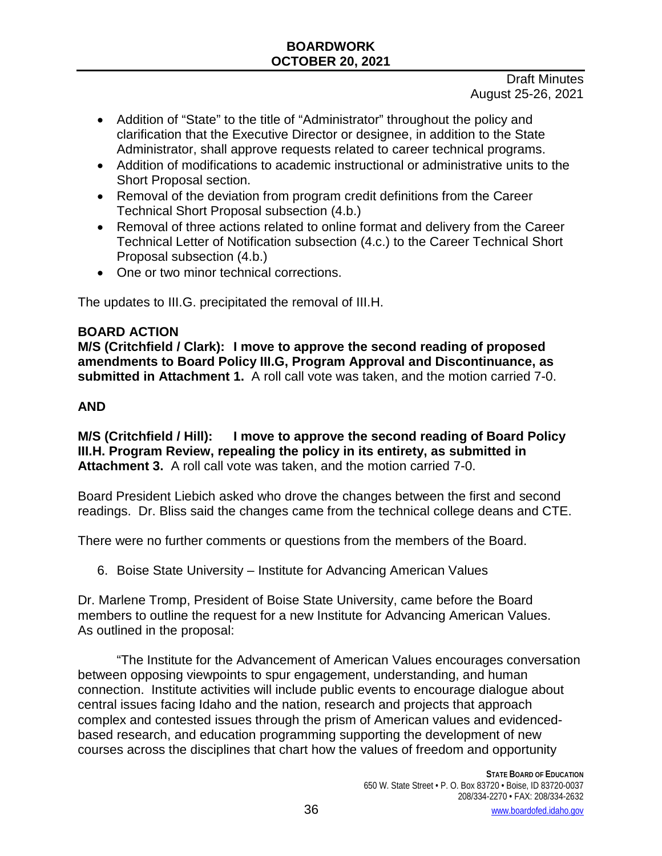Draft Minutes August 25-26, 2021

- Addition of "State" to the title of "Administrator" throughout the policy and clarification that the Executive Director or designee, in addition to the State Administrator, shall approve requests related to career technical programs.
- Addition of modifications to academic instructional or administrative units to the Short Proposal section.
- Removal of the deviation from program credit definitions from the Career Technical Short Proposal subsection (4.b.)
- Removal of three actions related to online format and delivery from the Career Technical Letter of Notification subsection (4.c.) to the Career Technical Short Proposal subsection (4.b.)
- One or two minor technical corrections.

The updates to III.G. precipitated the removal of III.H.

### **BOARD ACTION**

**M/S (Critchfield / Clark): I move to approve the second reading of proposed amendments to Board Policy III.G, Program Approval and Discontinuance, as submitted in Attachment 1.** A roll call vote was taken, and the motion carried 7-0.

### **AND**

**M/S (Critchfield / Hill): I move to approve the second reading of Board Policy III.H. Program Review, repealing the policy in its entirety, as submitted in Attachment 3.** A roll call vote was taken, and the motion carried 7-0.

Board President Liebich asked who drove the changes between the first and second readings. Dr. Bliss said the changes came from the technical college deans and CTE.

There were no further comments or questions from the members of the Board.

6. Boise State University – Institute for Advancing American Values

Dr. Marlene Tromp, President of Boise State University, came before the Board members to outline the request for a new Institute for Advancing American Values. As outlined in the proposal:

"The Institute for the Advancement of American Values encourages conversation between opposing viewpoints to spur engagement, understanding, and human connection. Institute activities will include public events to encourage dialogue about central issues facing Idaho and the nation, research and projects that approach complex and contested issues through the prism of American values and evidencedbased research, and education programming supporting the development of new courses across the disciplines that chart how the values of freedom and opportunity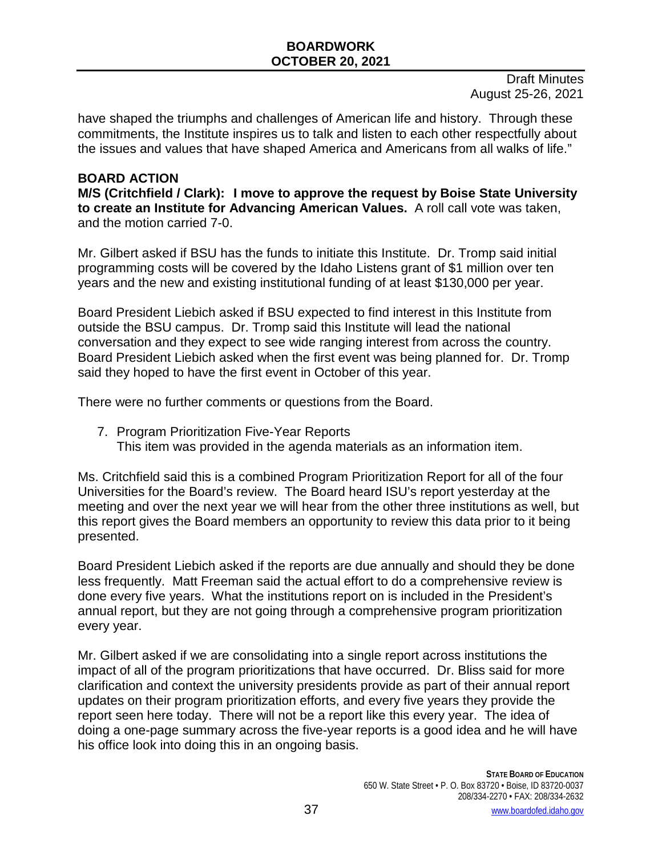Draft Minutes August 25-26, 2021

have shaped the triumphs and challenges of American life and history. Through these commitments, the Institute inspires us to talk and listen to each other respectfully about the issues and values that have shaped America and Americans from all walks of life."

#### **BOARD ACTION**

**M/S (Critchfield / Clark): I move to approve the request by Boise State University to create an Institute for Advancing American Values.** A roll call vote was taken, and the motion carried 7-0.

Mr. Gilbert asked if BSU has the funds to initiate this Institute. Dr. Tromp said initial programming costs will be covered by the Idaho Listens grant of \$1 million over ten years and the new and existing institutional funding of at least \$130,000 per year.

Board President Liebich asked if BSU expected to find interest in this Institute from outside the BSU campus. Dr. Tromp said this Institute will lead the national conversation and they expect to see wide ranging interest from across the country. Board President Liebich asked when the first event was being planned for. Dr. Tromp said they hoped to have the first event in October of this year.

There were no further comments or questions from the Board.

7. Program Prioritization Five-Year Reports This item was provided in the agenda materials as an information item.

Ms. Critchfield said this is a combined Program Prioritization Report for all of the four Universities for the Board's review. The Board heard ISU's report yesterday at the meeting and over the next year we will hear from the other three institutions as well, but this report gives the Board members an opportunity to review this data prior to it being presented.

Board President Liebich asked if the reports are due annually and should they be done less frequently. Matt Freeman said the actual effort to do a comprehensive review is done every five years. What the institutions report on is included in the President's annual report, but they are not going through a comprehensive program prioritization every year.

Mr. Gilbert asked if we are consolidating into a single report across institutions the impact of all of the program prioritizations that have occurred. Dr. Bliss said for more clarification and context the university presidents provide as part of their annual report updates on their program prioritization efforts, and every five years they provide the report seen here today. There will not be a report like this every year. The idea of doing a one-page summary across the five-year reports is a good idea and he will have his office look into doing this in an ongoing basis.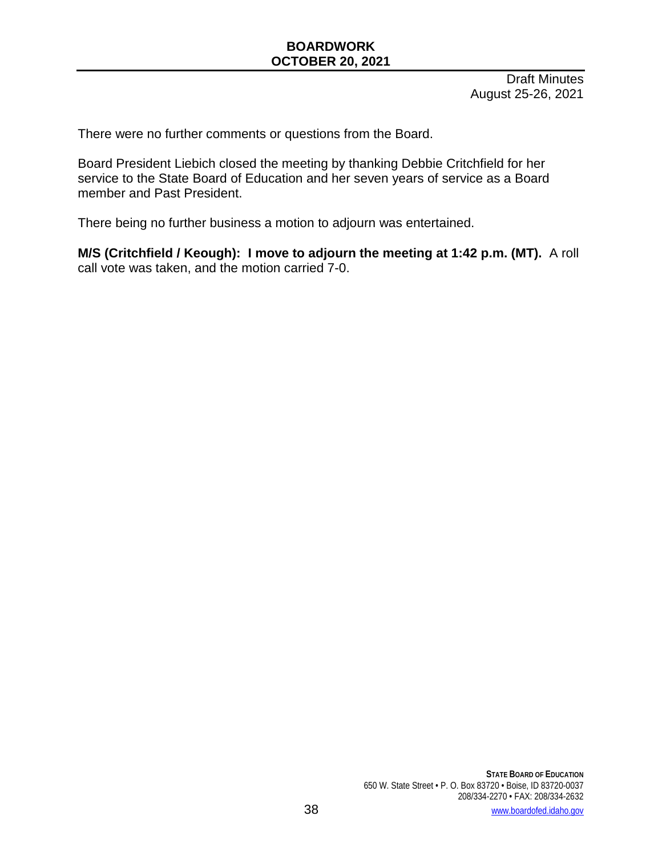Draft Minutes August 25-26, 2021

There were no further comments or questions from the Board.

Board President Liebich closed the meeting by thanking Debbie Critchfield for her service to the State Board of Education and her seven years of service as a Board member and Past President.

There being no further business a motion to adjourn was entertained.

**M/S (Critchfield / Keough): I move to adjourn the meeting at 1:42 p.m. (MT).** A roll call vote was taken, and the motion carried 7-0.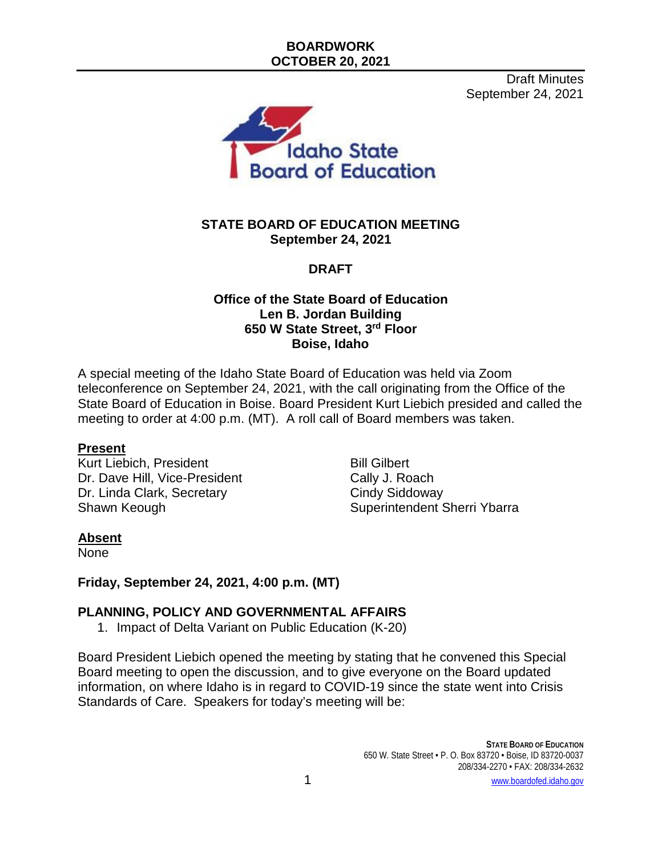Draft Minutes September 24, 2021



#### **STATE BOARD OF EDUCATION MEETING September 24, 2021**

# **DRAFT**

#### **Office of the State Board of Education Len B. Jordan Building 650 W State Street, 3rd Floor Boise, Idaho**

A special meeting of the Idaho State Board of Education was held via Zoom teleconference on September 24, 2021, with the call originating from the Office of the State Board of Education in Boise. Board President Kurt Liebich presided and called the meeting to order at 4:00 p.m. (MT). A roll call of Board members was taken.

#### **Present**

Kurt Liebich, President Bill Gilbert Dr. Dave Hill, Vice-President Cally J. Roach Dr. Linda Clark, Secretary Cindy Siddoway

Shawn Keough Shawn Keough Shawn Keough Shawn Superintendent Sherri Ybarra

#### **Absent**

None

#### **Friday, September 24, 2021, 4:00 p.m. (MT)**

#### **PLANNING, POLICY AND GOVERNMENTAL AFFAIRS**

1. Impact of Delta Variant on Public Education (K-20)

Board President Liebich opened the meeting by stating that he convened this Special Board meeting to open the discussion, and to give everyone on the Board updated information, on where Idaho is in regard to COVID-19 since the state went into Crisis Standards of Care. Speakers for today's meeting will be: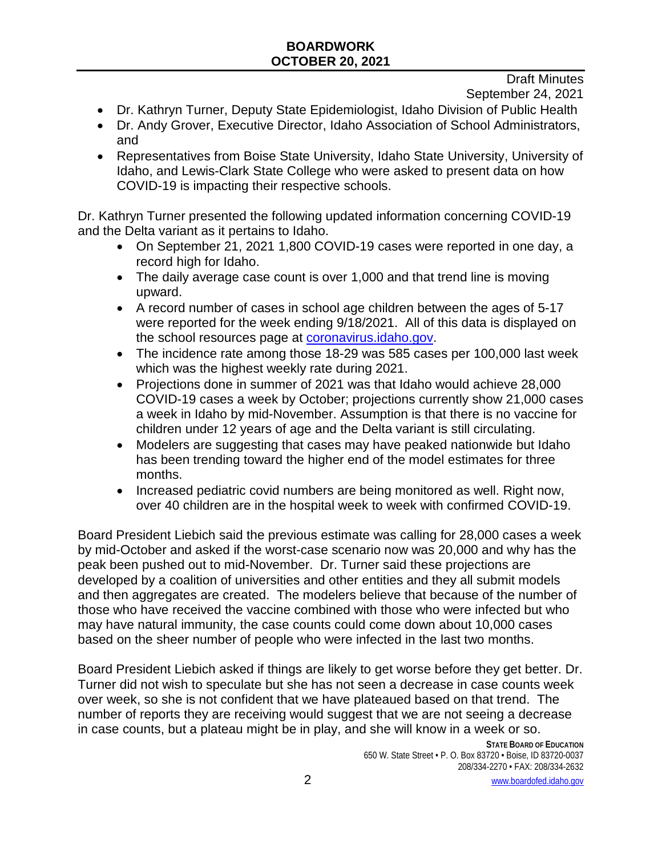Draft Minutes

September 24, 2021

- Dr. Kathryn Turner, Deputy State Epidemiologist, Idaho Division of Public Health
- Dr. Andy Grover, Executive Director, Idaho Association of School Administrators, and
- Representatives from Boise State University, Idaho State University, University of Idaho, and Lewis-Clark State College who were asked to present data on how COVID-19 is impacting their respective schools.

Dr. Kathryn Turner presented the following updated information concerning COVID-19 and the Delta variant as it pertains to Idaho.

- On September 21, 2021 1,800 COVID-19 cases were reported in one day, a record high for Idaho.
- The daily average case count is over 1,000 and that trend line is moving upward.
- A record number of cases in school age children between the ages of 5-17 were reported for the week ending 9/18/2021. All of this data is displayed on the school resources page at coronavirus.idaho.gov.
- The incidence rate among those 18-29 was 585 cases per 100,000 last week which was the highest weekly rate during 2021.
- Projections done in summer of 2021 was that Idaho would achieve 28,000 COVID-19 cases a week by October; projections currently show 21,000 cases a week in Idaho by mid-November. Assumption is that there is no vaccine for children under 12 years of age and the Delta variant is still circulating.
- Modelers are suggesting that cases may have peaked nationwide but Idaho has been trending toward the higher end of the model estimates for three months.
- Increased pediatric covid numbers are being monitored as well. Right now, over 40 children are in the hospital week to week with confirmed COVID-19.

Board President Liebich said the previous estimate was calling for 28,000 cases a week by mid-October and asked if the worst-case scenario now was 20,000 and why has the peak been pushed out to mid-November. Dr. Turner said these projections are developed by a coalition of universities and other entities and they all submit models and then aggregates are created. The modelers believe that because of the number of those who have received the vaccine combined with those who were infected but who may have natural immunity, the case counts could come down about 10,000 cases based on the sheer number of people who were infected in the last two months.

Board President Liebich asked if things are likely to get worse before they get better. Dr. Turner did not wish to speculate but she has not seen a decrease in case counts week over week, so she is not confident that we have plateaued based on that trend. The number of reports they are receiving would suggest that we are not seeing a decrease in case counts, but a plateau might be in play, and she will know in a week or so.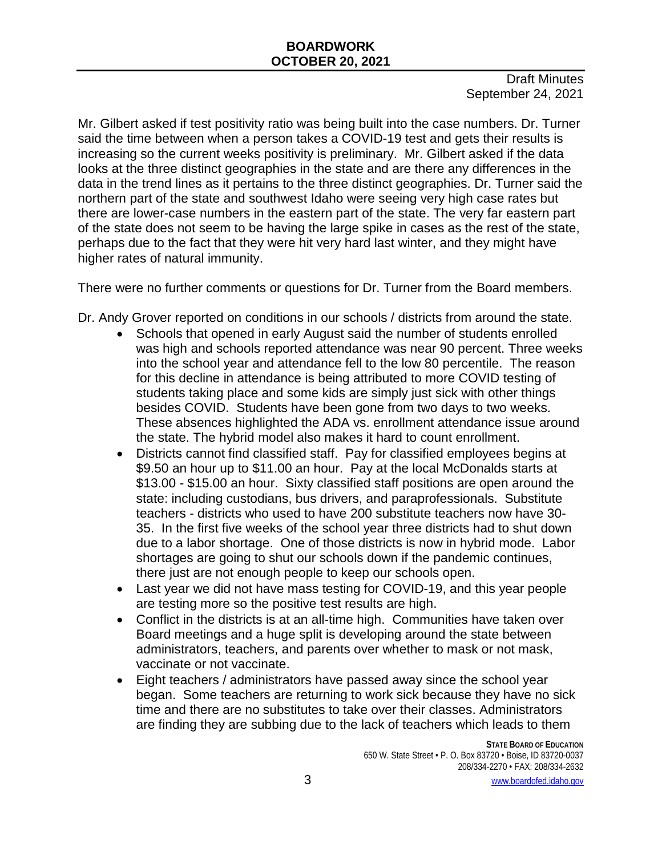Draft Minutes September 24, 2021

Mr. Gilbert asked if test positivity ratio was being built into the case numbers. Dr. Turner said the time between when a person takes a COVID-19 test and gets their results is increasing so the current weeks positivity is preliminary. Mr. Gilbert asked if the data looks at the three distinct geographies in the state and are there any differences in the data in the trend lines as it pertains to the three distinct geographies. Dr. Turner said the northern part of the state and southwest Idaho were seeing very high case rates but there are lower-case numbers in the eastern part of the state. The very far eastern part of the state does not seem to be having the large spike in cases as the rest of the state, perhaps due to the fact that they were hit very hard last winter, and they might have higher rates of natural immunity.

There were no further comments or questions for Dr. Turner from the Board members.

Dr. Andy Grover reported on conditions in our schools / districts from around the state.

- Schools that opened in early August said the number of students enrolled was high and schools reported attendance was near 90 percent. Three weeks into the school year and attendance fell to the low 80 percentile. The reason for this decline in attendance is being attributed to more COVID testing of students taking place and some kids are simply just sick with other things besides COVID. Students have been gone from two days to two weeks. These absences highlighted the ADA vs. enrollment attendance issue around the state. The hybrid model also makes it hard to count enrollment.
- Districts cannot find classified staff. Pay for classified employees begins at \$9.50 an hour up to \$11.00 an hour. Pay at the local McDonalds starts at \$13.00 - \$15.00 an hour. Sixty classified staff positions are open around the state: including custodians, bus drivers, and paraprofessionals. Substitute teachers - districts who used to have 200 substitute teachers now have 30- 35. In the first five weeks of the school year three districts had to shut down due to a labor shortage. One of those districts is now in hybrid mode. Labor shortages are going to shut our schools down if the pandemic continues, there just are not enough people to keep our schools open.
- Last year we did not have mass testing for COVID-19, and this year people are testing more so the positive test results are high.
- Conflict in the districts is at an all-time high. Communities have taken over Board meetings and a huge split is developing around the state between administrators, teachers, and parents over whether to mask or not mask, vaccinate or not vaccinate.
- Eight teachers / administrators have passed away since the school year began. Some teachers are returning to work sick because they have no sick time and there are no substitutes to take over their classes. Administrators are finding they are subbing due to the lack of teachers which leads to them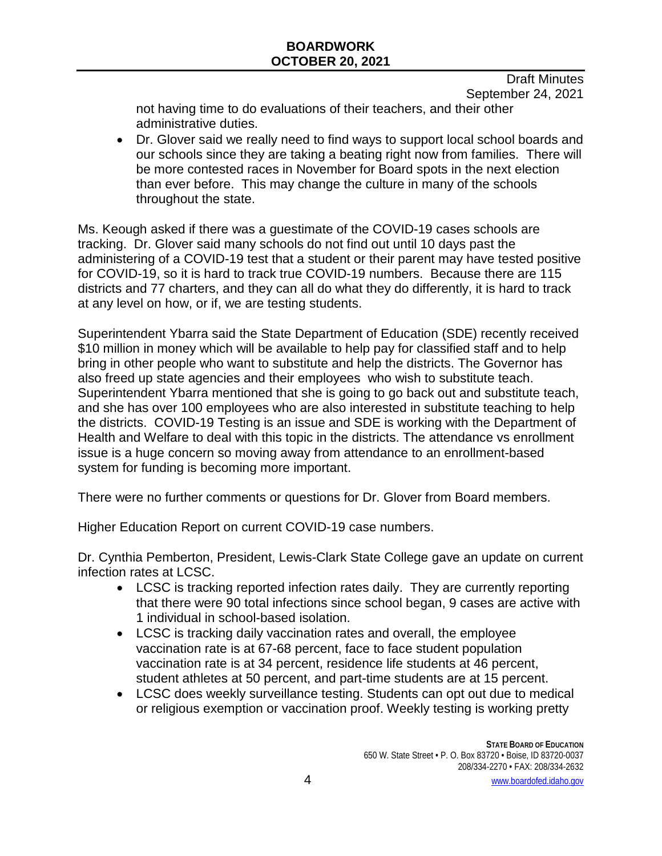Draft Minutes September 24, 2021

not having time to do evaluations of their teachers, and their other administrative duties.

• Dr. Glover said we really need to find ways to support local school boards and our schools since they are taking a beating right now from families. There will be more contested races in November for Board spots in the next election than ever before. This may change the culture in many of the schools throughout the state.

Ms. Keough asked if there was a guestimate of the COVID-19 cases schools are tracking. Dr. Glover said many schools do not find out until 10 days past the administering of a COVID-19 test that a student or their parent may have tested positive for COVID-19, so it is hard to track true COVID-19 numbers. Because there are 115 districts and 77 charters, and they can all do what they do differently, it is hard to track at any level on how, or if, we are testing students.

Superintendent Ybarra said the State Department of Education (SDE) recently received \$10 million in money which will be available to help pay for classified staff and to help bring in other people who want to substitute and help the districts. The Governor has also freed up state agencies and their employees who wish to substitute teach. Superintendent Ybarra mentioned that she is going to go back out and substitute teach, and she has over 100 employees who are also interested in substitute teaching to help the districts. COVID-19 Testing is an issue and SDE is working with the Department of Health and Welfare to deal with this topic in the districts. The attendance vs enrollment issue is a huge concern so moving away from attendance to an enrollment-based system for funding is becoming more important.

There were no further comments or questions for Dr. Glover from Board members.

Higher Education Report on current COVID-19 case numbers.

Dr. Cynthia Pemberton, President, Lewis-Clark State College gave an update on current infection rates at LCSC.

- LCSC is tracking reported infection rates daily. They are currently reporting that there were 90 total infections since school began, 9 cases are active with 1 individual in school-based isolation.
- LCSC is tracking daily vaccination rates and overall, the employee vaccination rate is at 67-68 percent, face to face student population vaccination rate is at 34 percent, residence life students at 46 percent, student athletes at 50 percent, and part-time students are at 15 percent.
- LCSC does weekly surveillance testing. Students can opt out due to medical or religious exemption or vaccination proof. Weekly testing is working pretty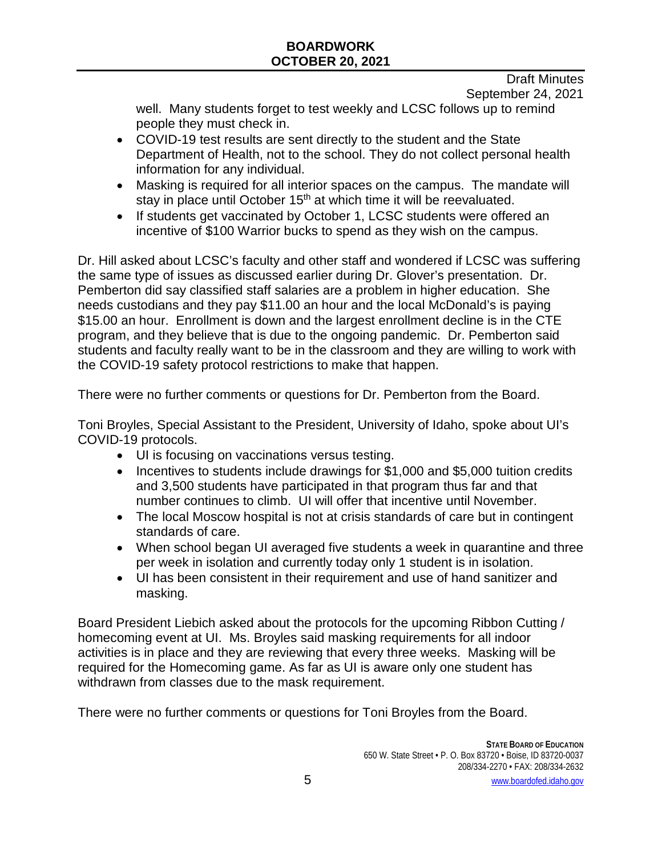Draft Minutes September 24, 2021

well. Many students forget to test weekly and LCSC follows up to remind people they must check in.

- COVID-19 test results are sent directly to the student and the State Department of Health, not to the school. They do not collect personal health information for any individual.
- Masking is required for all interior spaces on the campus. The mandate will stay in place until October 15<sup>th</sup> at which time it will be reevaluated.
- If students get vaccinated by October 1, LCSC students were offered an incentive of \$100 Warrior bucks to spend as they wish on the campus.

Dr. Hill asked about LCSC's faculty and other staff and wondered if LCSC was suffering the same type of issues as discussed earlier during Dr. Glover's presentation. Dr. Pemberton did say classified staff salaries are a problem in higher education. She needs custodians and they pay \$11.00 an hour and the local McDonald's is paying \$15.00 an hour. Enrollment is down and the largest enrollment decline is in the CTE program, and they believe that is due to the ongoing pandemic. Dr. Pemberton said students and faculty really want to be in the classroom and they are willing to work with the COVID-19 safety protocol restrictions to make that happen.

There were no further comments or questions for Dr. Pemberton from the Board.

Toni Broyles, Special Assistant to the President, University of Idaho, spoke about UI's COVID-19 protocols.

- UI is focusing on vaccinations versus testing.
- Incentives to students include drawings for \$1,000 and \$5,000 tuition credits and 3,500 students have participated in that program thus far and that number continues to climb. UI will offer that incentive until November.
- The local Moscow hospital is not at crisis standards of care but in contingent standards of care.
- When school began UI averaged five students a week in quarantine and three per week in isolation and currently today only 1 student is in isolation.
- UI has been consistent in their requirement and use of hand sanitizer and masking.

Board President Liebich asked about the protocols for the upcoming Ribbon Cutting / homecoming event at UI. Ms. Broyles said masking requirements for all indoor activities is in place and they are reviewing that every three weeks. Masking will be required for the Homecoming game. As far as UI is aware only one student has withdrawn from classes due to the mask requirement.

There were no further comments or questions for Toni Broyles from the Board.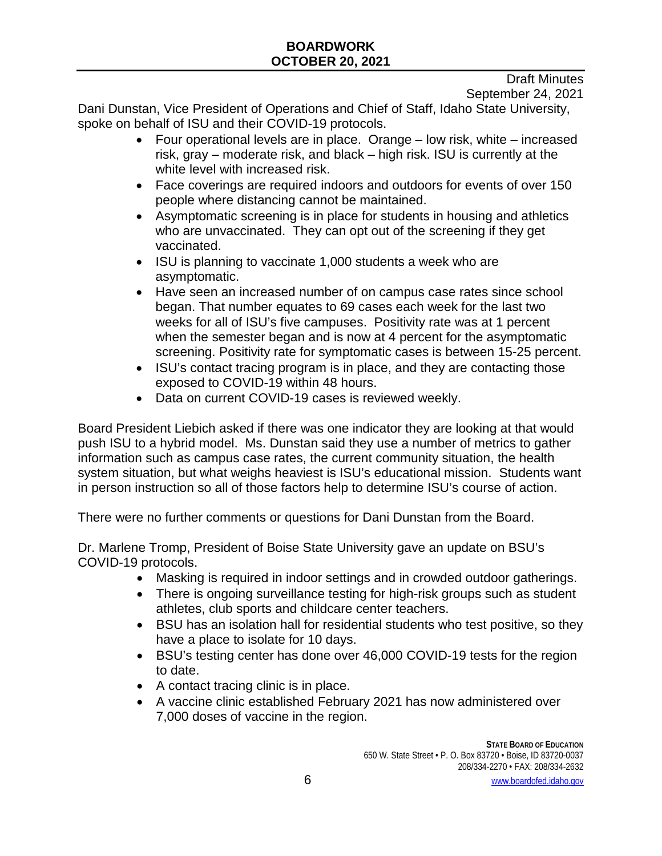Draft Minutes

September 24, 2021

Dani Dunstan, Vice President of Operations and Chief of Staff, Idaho State University, spoke on behalf of ISU and their COVID-19 protocols.

- Four operational levels are in place. Orange low risk, white increased risk, gray – moderate risk, and black – high risk. ISU is currently at the white level with increased risk.
- Face coverings are required indoors and outdoors for events of over 150 people where distancing cannot be maintained.
- Asymptomatic screening is in place for students in housing and athletics who are unvaccinated. They can opt out of the screening if they get vaccinated.
- ISU is planning to vaccinate 1,000 students a week who are asymptomatic.
- Have seen an increased number of on campus case rates since school began. That number equates to 69 cases each week for the last two weeks for all of ISU's five campuses. Positivity rate was at 1 percent when the semester began and is now at 4 percent for the asymptomatic screening. Positivity rate for symptomatic cases is between 15-25 percent.
- ISU's contact tracing program is in place, and they are contacting those exposed to COVID-19 within 48 hours.
- Data on current COVID-19 cases is reviewed weekly.

Board President Liebich asked if there was one indicator they are looking at that would push ISU to a hybrid model. Ms. Dunstan said they use a number of metrics to gather information such as campus case rates, the current community situation, the health system situation, but what weighs heaviest is ISU's educational mission. Students want in person instruction so all of those factors help to determine ISU's course of action.

There were no further comments or questions for Dani Dunstan from the Board.

Dr. Marlene Tromp, President of Boise State University gave an update on BSU's COVID-19 protocols.

- Masking is required in indoor settings and in crowded outdoor gatherings.
- There is ongoing surveillance testing for high-risk groups such as student athletes, club sports and childcare center teachers.
- BSU has an isolation hall for residential students who test positive, so they have a place to isolate for 10 days.
- BSU's testing center has done over 46,000 COVID-19 tests for the region to date.
- A contact tracing clinic is in place.
- A vaccine clinic established February 2021 has now administered over 7,000 doses of vaccine in the region.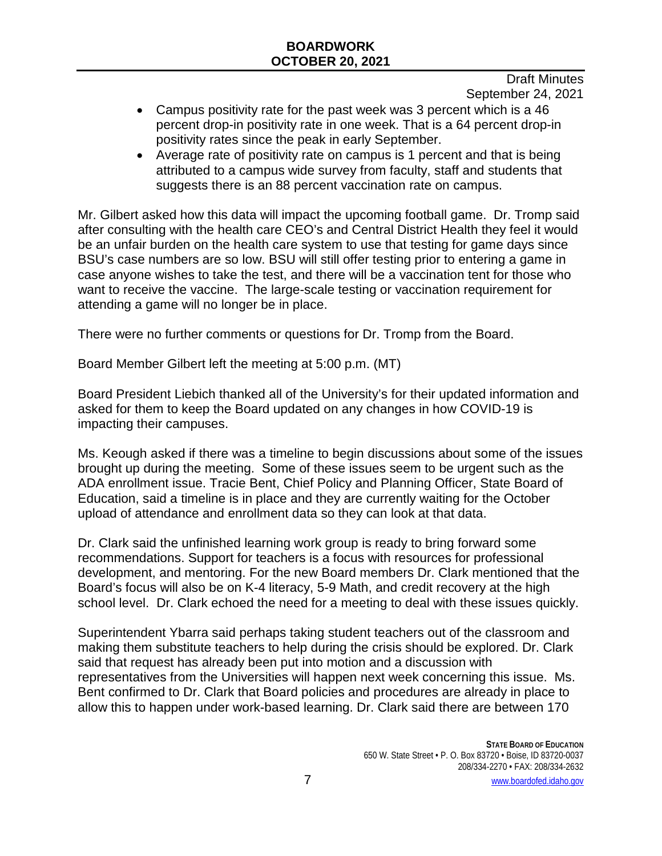Draft Minutes September 24, 2021

- Campus positivity rate for the past week was 3 percent which is a 46 percent drop-in positivity rate in one week. That is a 64 percent drop-in positivity rates since the peak in early September.
- Average rate of positivity rate on campus is 1 percent and that is being attributed to a campus wide survey from faculty, staff and students that suggests there is an 88 percent vaccination rate on campus.

Mr. Gilbert asked how this data will impact the upcoming football game. Dr. Tromp said after consulting with the health care CEO's and Central District Health they feel it would be an unfair burden on the health care system to use that testing for game days since BSU's case numbers are so low. BSU will still offer testing prior to entering a game in case anyone wishes to take the test, and there will be a vaccination tent for those who want to receive the vaccine. The large-scale testing or vaccination requirement for attending a game will no longer be in place.

There were no further comments or questions for Dr. Tromp from the Board.

Board Member Gilbert left the meeting at 5:00 p.m. (MT)

Board President Liebich thanked all of the University's for their updated information and asked for them to keep the Board updated on any changes in how COVID-19 is impacting their campuses.

Ms. Keough asked if there was a timeline to begin discussions about some of the issues brought up during the meeting. Some of these issues seem to be urgent such as the ADA enrollment issue. Tracie Bent, Chief Policy and Planning Officer, State Board of Education, said a timeline is in place and they are currently waiting for the October upload of attendance and enrollment data so they can look at that data.

Dr. Clark said the unfinished learning work group is ready to bring forward some recommendations. Support for teachers is a focus with resources for professional development, and mentoring. For the new Board members Dr. Clark mentioned that the Board's focus will also be on K-4 literacy, 5-9 Math, and credit recovery at the high school level. Dr. Clark echoed the need for a meeting to deal with these issues quickly.

Superintendent Ybarra said perhaps taking student teachers out of the classroom and making them substitute teachers to help during the crisis should be explored. Dr. Clark said that request has already been put into motion and a discussion with representatives from the Universities will happen next week concerning this issue. Ms. Bent confirmed to Dr. Clark that Board policies and procedures are already in place to allow this to happen under work-based learning. Dr. Clark said there are between 170